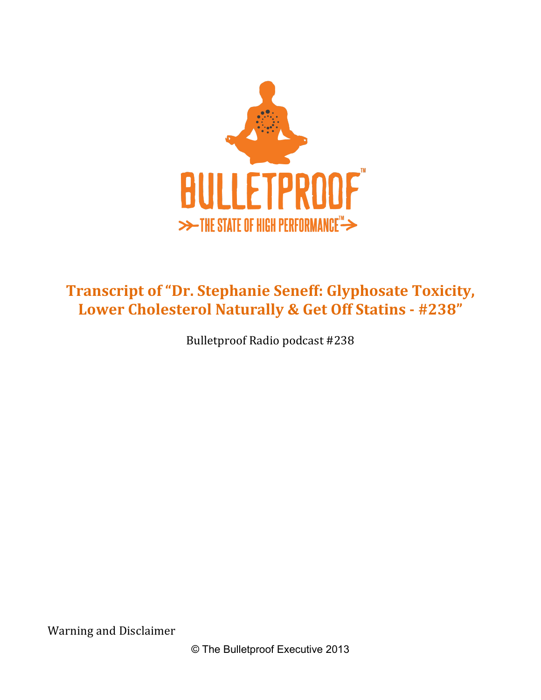

# **Transcript of "Dr. Stephanie Seneff: Glyphosate Toxicity,** Lower Cholesterol Naturally & Get Off Statins - #238"

Bulletproof Radio podcast #238

Warning and Disclaimer

© The Bulletproof Executive 2013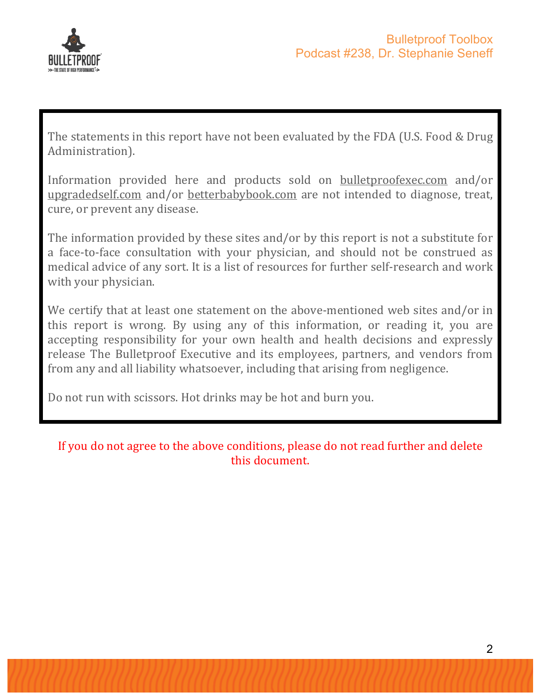

The statements in this report have not been evaluated by the FDA (U.S. Food & Drug Administration). 

Information provided here and products sold on bulletproofexec.com and/or upgradedself.com and/or betterbabybook.com are not intended to diagnose, treat, cure, or prevent any disease.

The information provided by these sites and/or by this report is not a substitute for a face-to-face consultation with your physician, and should not be construed as medical advice of any sort. It is a list of resources for further self-research and work with your physician.

We certify that at least one statement on the above-mentioned web sites and/or in this report is wrong. By using any of this information, or reading it, you are accepting responsibility for your own health and health decisions and expressly release The Bulletproof Executive and its employees, partners, and vendors from from any and all liability whatsoever, including that arising from negligence.

Do not run with scissors. Hot drinks may be hot and burn you.

#### If you do not agree to the above conditions, please do not read further and delete this document.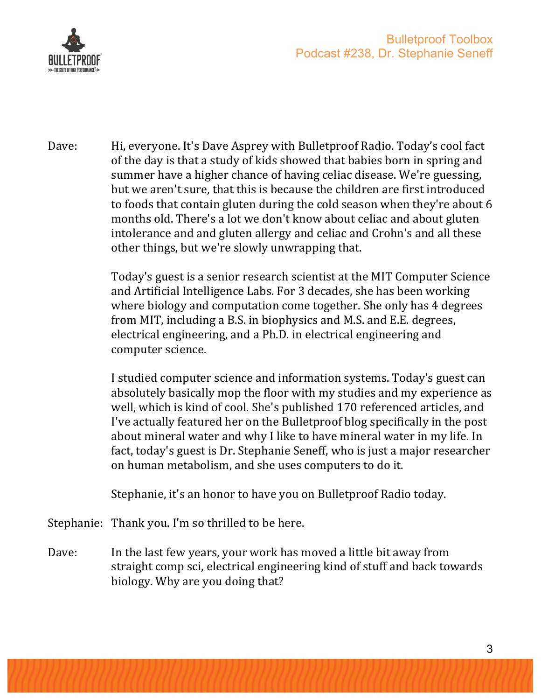

Dave: Hi, everyone. It's Dave Asprey with Bulletproof Radio. Today's cool fact of the day is that a study of kids showed that babies born in spring and summer have a higher chance of having celiac disease. We're guessing, but we aren't sure, that this is because the children are first introduced to foods that contain gluten during the cold season when they're about 6 months old. There's a lot we don't know about celiac and about gluten intolerance and and gluten allergy and celiac and Crohn's and all these other things, but we're slowly unwrapping that.

> Today's guest is a senior research scientist at the MIT Computer Science and Artificial Intelligence Labs. For 3 decades, she has been working where biology and computation come together. She only has 4 degrees from MIT, including a B.S. in biophysics and M.S. and E.E. degrees, electrical engineering, and a Ph.D. in electrical engineering and computer science.

> I studied computer science and information systems. Today's guest can absolutely basically mop the floor with my studies and my experience as well, which is kind of cool. She's published 170 referenced articles, and I've actually featured her on the Bulletproof blog specifically in the post about mineral water and why I like to have mineral water in my life. In fact, today's guest is Dr. Stephanie Seneff, who is just a major researcher on human metabolism, and she uses computers to do it.

Stephanie, it's an honor to have you on Bulletproof Radio today.

Stephanie: Thank you. I'm so thrilled to be here.

Dave: In the last few years, your work has moved a little bit away from straight comp sci, electrical engineering kind of stuff and back towards biology. Why are you doing that?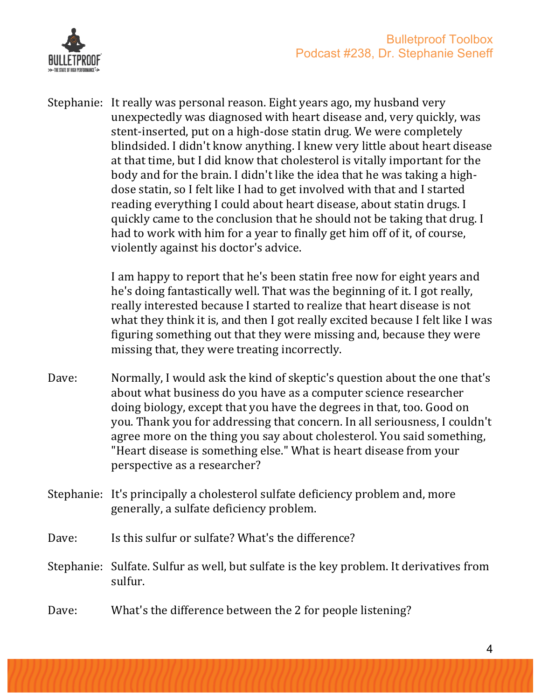

Stephanie: It really was personal reason. Eight years ago, my husband very unexpectedly was diagnosed with heart disease and, very quickly, was stent-inserted, put on a high-dose statin drug. We were completely blindsided. I didn't know anything. I knew very little about heart disease at that time, but I did know that cholesterol is vitally important for the body and for the brain. I didn't like the idea that he was taking a highdose statin, so I felt like I had to get involved with that and I started reading everything I could about heart disease, about statin drugs. I quickly came to the conclusion that he should not be taking that drug. I had to work with him for a year to finally get him off of it, of course, violently against his doctor's advice.

> I am happy to report that he's been statin free now for eight years and he's doing fantastically well. That was the beginning of it. I got really, really interested because I started to realize that heart disease is not what they think it is, and then I got really excited because I felt like I was figuring something out that they were missing and, because they were missing that, they were treating incorrectly.

- Dave: Normally, I would ask the kind of skeptic's question about the one that's about what business do you have as a computer science researcher doing biology, except that you have the degrees in that, too. Good on you. Thank you for addressing that concern. In all seriousness, I couldn't agree more on the thing you say about cholesterol. You said something, "Heart disease is something else." What is heart disease from your perspective as a researcher?
- Stephanie: It's principally a cholesterol sulfate deficiency problem and, more generally, a sulfate deficiency problem.
- Dave: Is this sulfur or sulfate? What's the difference?
- Stephanie: Sulfate. Sulfur as well, but sulfate is the key problem. It derivatives from sulfur.
- Dave: What's the difference between the 2 for people listening?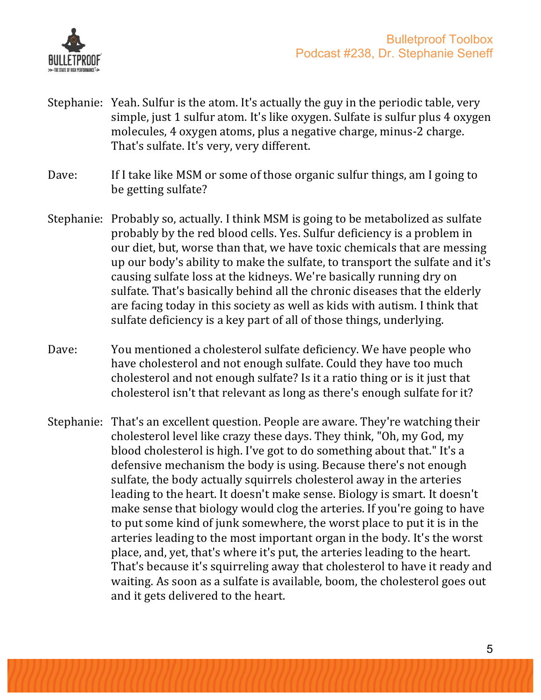

- Stephanie: Yeah. Sulfur is the atom. It's actually the guy in the periodic table, very simple, just 1 sulfur atom. It's like oxygen. Sulfate is sulfur plus 4 oxygen molecules, 4 oxygen atoms, plus a negative charge, minus-2 charge. That's sulfate. It's very, very different.
- Dave: If I take like MSM or some of those organic sulfur things, am I going to be getting sulfate?
- Stephanie: Probably so, actually. I think MSM is going to be metabolized as sulfate probably by the red blood cells. Yes. Sulfur deficiency is a problem in our diet, but, worse than that, we have toxic chemicals that are messing up our body's ability to make the sulfate, to transport the sulfate and it's causing sulfate loss at the kidneys. We're basically running dry on sulfate. That's basically behind all the chronic diseases that the elderly are facing today in this society as well as kids with autism. I think that sulfate deficiency is a key part of all of those things, underlying.
- Dave: You mentioned a cholesterol sulfate deficiency. We have people who have cholesterol and not enough sulfate. Could they have too much cholesterol and not enough sulfate? Is it a ratio thing or is it just that cholesterol isn't that relevant as long as there's enough sulfate for it?
- Stephanie: That's an excellent question. People are aware. They're watching their cholesterol level like crazy these days. They think, "Oh, my God, my blood cholesterol is high. I've got to do something about that." It's a defensive mechanism the body is using. Because there's not enough sulfate, the body actually squirrels cholesterol away in the arteries leading to the heart. It doesn't make sense. Biology is smart. It doesn't make sense that biology would clog the arteries. If you're going to have to put some kind of junk somewhere, the worst place to put it is in the arteries leading to the most important organ in the body. It's the worst place, and, yet, that's where it's put, the arteries leading to the heart. That's because it's squirreling away that cholesterol to have it ready and waiting. As soon as a sulfate is available, boom, the cholesterol goes out and it gets delivered to the heart.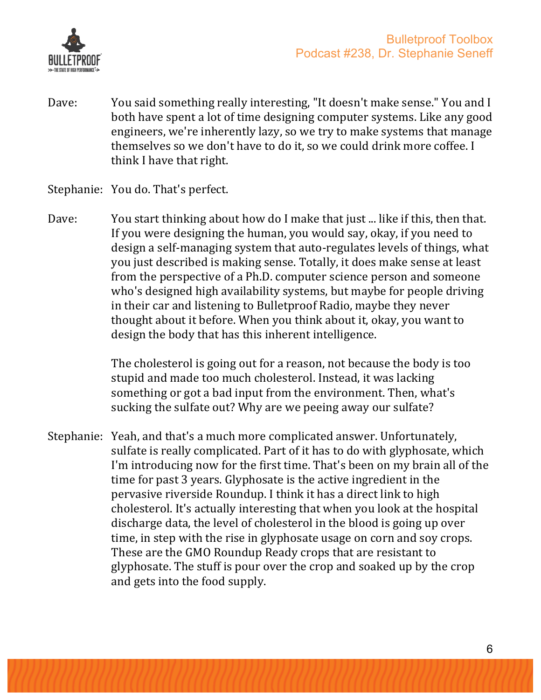

Dave: You said something really interesting, "It doesn't make sense." You and I both have spent a lot of time designing computer systems. Like any good engineers, we're inherently lazy, so we try to make systems that manage themselves so we don't have to do it, so we could drink more coffee. I think I have that right.

#### Stephanie: You do. That's perfect.

Dave: You start thinking about how do I make that just ... like if this, then that. If you were designing the human, you would say, okay, if you need to design a self-managing system that auto-regulates levels of things, what you just described is making sense. Totally, it does make sense at least from the perspective of a Ph.D. computer science person and someone who's designed high availability systems, but maybe for people driving in their car and listening to Bulletproof Radio, maybe they never thought about it before. When you think about it, okay, you want to design the body that has this inherent intelligence.

> The cholesterol is going out for a reason, not because the body is too stupid and made too much cholesterol. Instead, it was lacking something or got a bad input from the environment. Then, what's sucking the sulfate out? Why are we peeing away our sulfate?

Stephanie: Yeah, and that's a much more complicated answer. Unfortunately, sulfate is really complicated. Part of it has to do with glyphosate, which I'm introducing now for the first time. That's been on my brain all of the time for past 3 years. Glyphosate is the active ingredient in the pervasive riverside Roundup. I think it has a direct link to high cholesterol. It's actually interesting that when you look at the hospital discharge data, the level of cholesterol in the blood is going up over time, in step with the rise in glyphosate usage on corn and soy crops. These are the GMO Roundup Ready crops that are resistant to glyphosate. The stuff is pour over the crop and soaked up by the crop and gets into the food supply.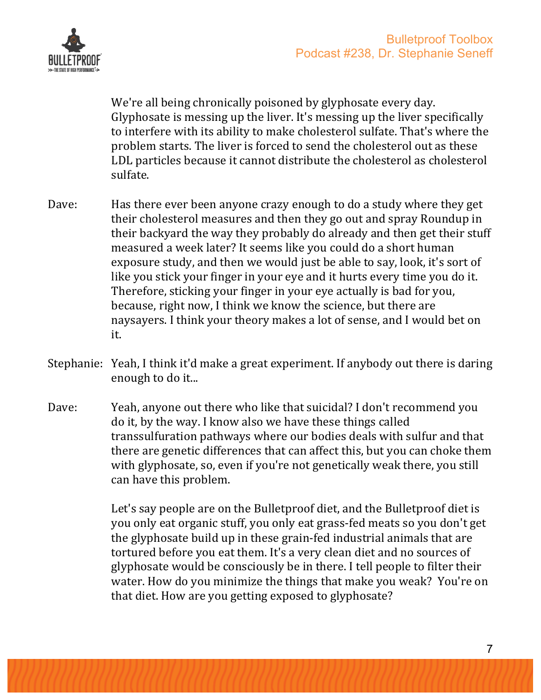

We're all being chronically poisoned by glyphosate every day. Glyphosate is messing up the liver. It's messing up the liver specifically to interfere with its ability to make cholesterol sulfate. That's where the problem starts. The liver is forced to send the cholesterol out as these LDL particles because it cannot distribute the cholesterol as cholesterol sulfate.

- Dave: Has there ever been anyone crazy enough to do a study where they get their cholesterol measures and then they go out and spray Roundup in their backyard the way they probably do already and then get their stuff measured a week later? It seems like you could do a short human exposure study, and then we would just be able to say, look, it's sort of like you stick your finger in your eye and it hurts every time you do it. Therefore, sticking your finger in your eye actually is bad for you, because, right now, I think we know the science, but there are naysayers. I think your theory makes a lot of sense, and I would bet on it.
- Stephanie: Yeah, I think it'd make a great experiment. If anybody out there is daring enough to do it...
- Dave: Yeah, anyone out there who like that suicidal? I don't recommend you do it, by the way. I know also we have these things called transsulfuration pathways where our bodies deals with sulfur and that there are genetic differences that can affect this, but you can choke them with glyphosate, so, even if you're not genetically weak there, you still can have this problem.

Let's say people are on the Bulletproof diet, and the Bulletproof diet is you only eat organic stuff, you only eat grass-fed meats so you don't get the glyphosate build up in these grain-fed industrial animals that are tortured before you eat them. It's a very clean diet and no sources of glyphosate would be consciously be in there. I tell people to filter their water. How do you minimize the things that make you weak? You're on that diet. How are you getting exposed to glyphosate?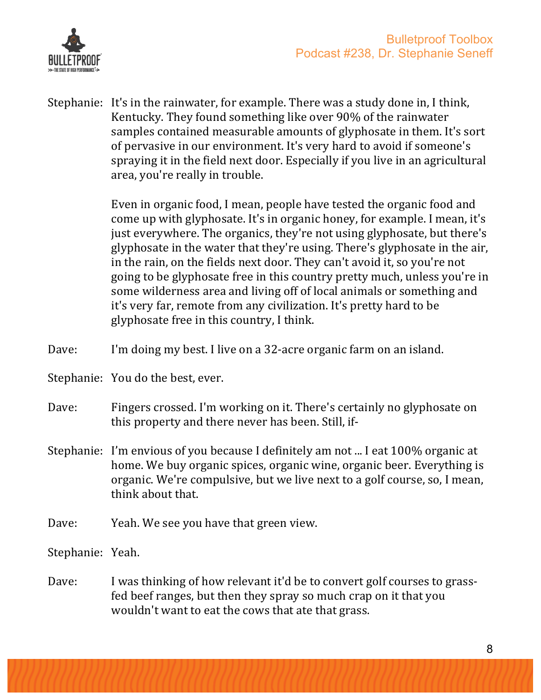

Stephanie: It's in the rainwater, for example. There was a study done in, I think, Kentucky. They found something like over 90% of the rainwater samples contained measurable amounts of glyphosate in them. It's sort of pervasive in our environment. It's very hard to avoid if someone's spraying it in the field next door. Especially if you live in an agricultural area, you're really in trouble.

> Even in organic food, I mean, people have tested the organic food and come up with glyphosate. It's in organic honey, for example. I mean, it's just everywhere. The organics, they're not using glyphosate, but there's glyphosate in the water that they're using. There's glyphosate in the air, in the rain, on the fields next door. They can't avoid it, so you're not going to be glyphosate free in this country pretty much, unless you're in some wilderness area and living off of local animals or something and it's very far, remote from any civilization. It's pretty hard to be glyphosate free in this country, I think.

- Dave: I'm doing my best. I live on a 32-acre organic farm on an island.
- Stephanie: You do the best, ever.
- Dave: Fingers crossed. I'm working on it. There's certainly no glyphosate on this property and there never has been. Still, if-
- Stephanie: I'm envious of you because I definitely am not ... I eat 100% organic at home. We buy organic spices, organic wine, organic beer. Everything is organic. We're compulsive, but we live next to a golf course, so, I mean, think about that.
- Dave: Yeah. We see you have that green view.

Stephanie: Yeah. 

Dave: I was thinking of how relevant it'd be to convert golf courses to grassfed beef ranges, but then they spray so much crap on it that you wouldn't want to eat the cows that ate that grass.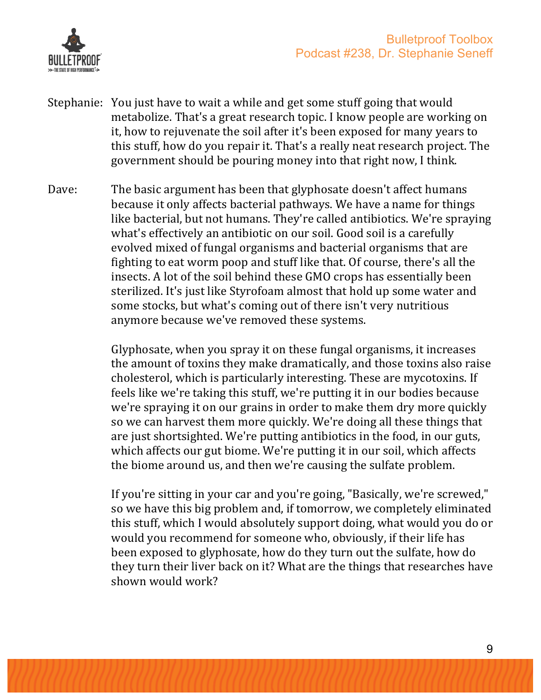

- Stephanie: You just have to wait a while and get some stuff going that would metabolize. That's a great research topic. I know people are working on it, how to rejuvenate the soil after it's been exposed for many years to this stuff, how do you repair it. That's a really neat research project. The government should be pouring money into that right now, I think.
- Dave: The basic argument has been that glyphosate doesn't affect humans because it only affects bacterial pathways. We have a name for things like bacterial, but not humans. They're called antibiotics. We're spraying what's effectively an antibiotic on our soil. Good soil is a carefully evolved mixed of fungal organisms and bacterial organisms that are fighting to eat worm poop and stuff like that. Of course, there's all the insects. A lot of the soil behind these GMO crops has essentially been sterilized. It's just like Styrofoam almost that hold up some water and some stocks, but what's coming out of there isn't very nutritious anymore because we've removed these systems.

Glyphosate, when you spray it on these fungal organisms, it increases the amount of toxins they make dramatically, and those toxins also raise cholesterol, which is particularly interesting. These are mycotoxins. If feels like we're taking this stuff, we're putting it in our bodies because we're spraying it on our grains in order to make them dry more quickly so we can harvest them more quickly. We're doing all these things that are just shortsighted. We're putting antibiotics in the food, in our guts, which affects our gut biome. We're putting it in our soil, which affects the biome around us, and then we're causing the sulfate problem.

If you're sitting in your car and you're going, "Basically, we're screwed," so we have this big problem and, if tomorrow, we completely eliminated this stuff, which I would absolutely support doing, what would you do or would you recommend for someone who, obviously, if their life has been exposed to glyphosate, how do they turn out the sulfate, how do they turn their liver back on it? What are the things that researches have shown would work?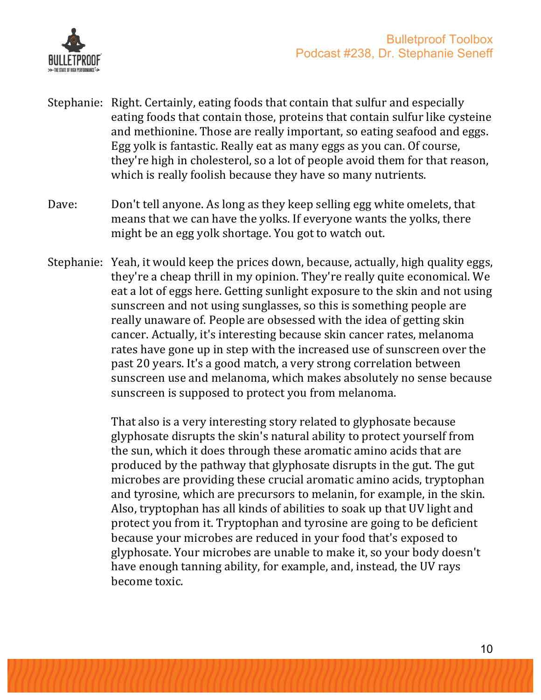

- Stephanie: Right. Certainly, eating foods that contain that sulfur and especially eating foods that contain those, proteins that contain sulfur like cysteine and methionine. Those are really important, so eating seafood and eggs. Egg yolk is fantastic. Really eat as many eggs as you can. Of course, they're high in cholesterol, so a lot of people avoid them for that reason, which is really foolish because they have so many nutrients.
- Dave: Don't tell anyone. As long as they keep selling egg white omelets, that means that we can have the yolks. If everyone wants the yolks, there might be an egg yolk shortage. You got to watch out.
- Stephanie: Yeah, it would keep the prices down, because, actually, high quality eggs, they're a cheap thrill in my opinion. They're really quite economical. We eat a lot of eggs here. Getting sunlight exposure to the skin and not using sunscreen and not using sunglasses, so this is something people are really unaware of. People are obsessed with the idea of getting skin cancer. Actually, it's interesting because skin cancer rates, melanoma rates have gone up in step with the increased use of sunscreen over the past 20 years. It's a good match, a very strong correlation between sunscreen use and melanoma, which makes absolutely no sense because sunscreen is supposed to protect you from melanoma.

That also is a very interesting story related to glyphosate because glyphosate disrupts the skin's natural ability to protect yourself from the sun, which it does through these aromatic amino acids that are produced by the pathway that glyphosate disrupts in the gut. The gut microbes are providing these crucial aromatic amino acids, tryptophan and tyrosine, which are precursors to melanin, for example, in the skin. Also, tryptophan has all kinds of abilities to soak up that UV light and protect you from it. Tryptophan and tyrosine are going to be deficient because your microbes are reduced in your food that's exposed to glyphosate. Your microbes are unable to make it, so your body doesn't have enough tanning ability, for example, and, instead, the UV rays become toxic.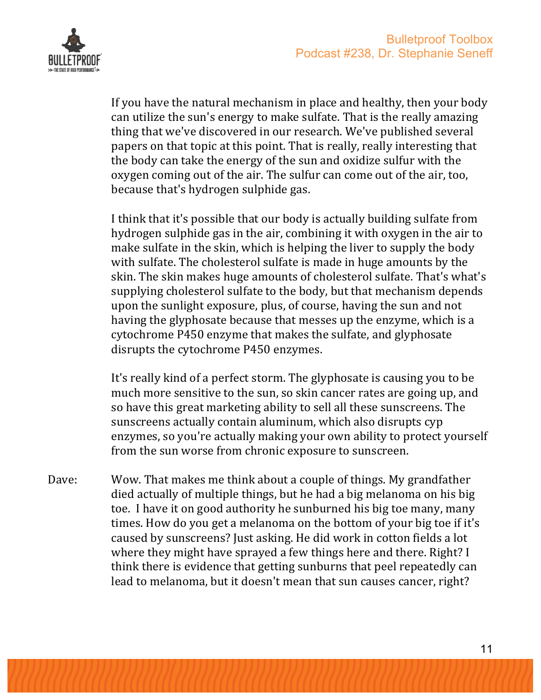



If you have the natural mechanism in place and healthy, then your body can utilize the sun's energy to make sulfate. That is the really amazing thing that we've discovered in our research. We've published several papers on that topic at this point. That is really, really interesting that the body can take the energy of the sun and oxidize sulfur with the oxygen coming out of the air. The sulfur can come out of the air, too, because that's hydrogen sulphide gas.

I think that it's possible that our body is actually building sulfate from hydrogen sulphide gas in the air, combining it with oxygen in the air to make sulfate in the skin, which is helping the liver to supply the body with sulfate. The cholesterol sulfate is made in huge amounts by the skin. The skin makes huge amounts of cholesterol sulfate. That's what's supplying cholesterol sulfate to the body, but that mechanism depends upon the sunlight exposure, plus, of course, having the sun and not having the glyphosate because that messes up the enzyme, which is a cytochrome P450 enzyme that makes the sulfate, and glyphosate disrupts the cytochrome P450 enzymes.

It's really kind of a perfect storm. The glyphosate is causing you to be much more sensitive to the sun, so skin cancer rates are going up, and so have this great marketing ability to sell all these sunscreens. The sunscreens actually contain aluminum, which also disrupts cyp enzymes, so you're actually making your own ability to protect yourself from the sun worse from chronic exposure to sunscreen.

Dave: Wow. That makes me think about a couple of things. My grandfather died actually of multiple things, but he had a big melanoma on his big toe. I have it on good authority he sunburned his big toe many, many times. How do you get a melanoma on the bottom of your big toe if it's caused by sunscreens? Just asking. He did work in cotton fields a lot where they might have sprayed a few things here and there. Right? I think there is evidence that getting sunburns that peel repeatedly can lead to melanoma, but it doesn't mean that sun causes cancer, right?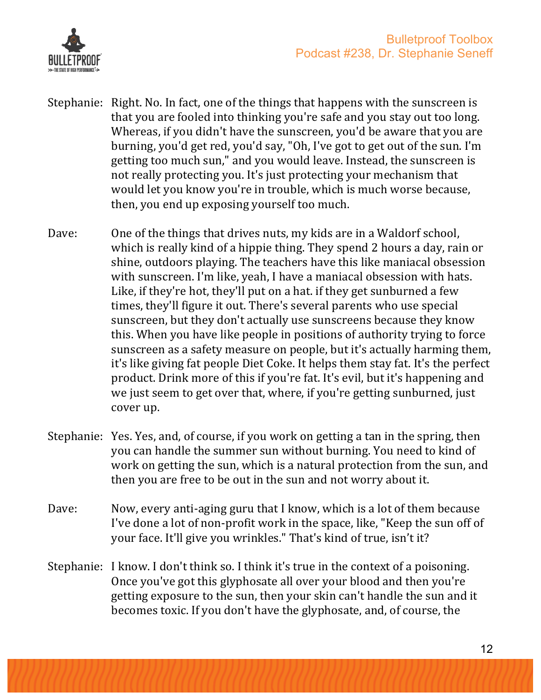

- Stephanie: Right. No. In fact, one of the things that happens with the sunscreen is that you are fooled into thinking you're safe and you stay out too long. Whereas, if you didn't have the sunscreen, you'd be aware that you are burning, you'd get red, you'd say, "Oh, I've got to get out of the sun. I'm getting too much sun," and you would leave. Instead, the sunscreen is not really protecting you. It's just protecting your mechanism that would let you know you're in trouble, which is much worse because, then, you end up exposing yourself too much.
- Dave: One of the things that drives nuts, my kids are in a Waldorf school, which is really kind of a hippie thing. They spend 2 hours a day, rain or shine, outdoors playing. The teachers have this like maniacal obsession with sunscreen. I'm like, yeah, I have a maniacal obsession with hats. Like, if they're hot, they'll put on a hat. if they get sunburned a few times, they'll figure it out. There's several parents who use special sunscreen, but they don't actually use sunscreens because they know this. When you have like people in positions of authority trying to force sunscreen as a safety measure on people, but it's actually harming them, it's like giving fat people Diet Coke. It helps them stay fat. It's the perfect product. Drink more of this if you're fat. It's evil, but it's happening and we just seem to get over that, where, if you're getting sunburned, just cover up.
- Stephanie: Yes. Yes, and, of course, if you work on getting a tan in the spring, then you can handle the summer sun without burning. You need to kind of work on getting the sun, which is a natural protection from the sun, and then you are free to be out in the sun and not worry about it.
- Dave: Now, every anti-aging guru that I know, which is a lot of them because I've done a lot of non-profit work in the space, like, "Keep the sun off of your face. It'll give you wrinkles." That's kind of true, isn't it?
- Stephanie: I know. I don't think so. I think it's true in the context of a poisoning. Once you've got this glyphosate all over your blood and then you're getting exposure to the sun, then your skin can't handle the sun and it becomes toxic. If you don't have the glyphosate, and, of course, the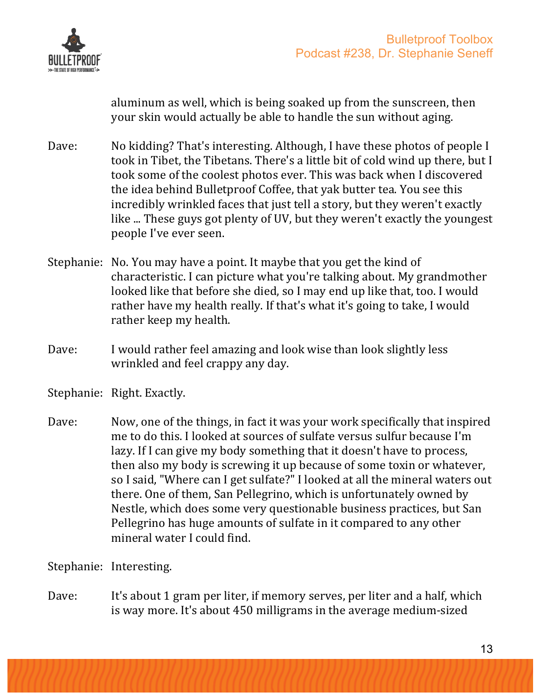

aluminum as well, which is being soaked up from the sunscreen, then your skin would actually be able to handle the sun without aging.

- Dave: No kidding? That's interesting. Although, I have these photos of people I took in Tibet, the Tibetans. There's a little bit of cold wind up there, but I took some of the coolest photos ever. This was back when I discovered the idea behind Bulletproof Coffee, that yak butter tea. You see this incredibly wrinkled faces that just tell a story, but they weren't exactly like ... These guys got plenty of UV, but they weren't exactly the youngest people I've ever seen.
- Stephanie: No. You may have a point. It maybe that you get the kind of characteristic. I can picture what you're talking about. My grandmother looked like that before she died, so I may end up like that, too. I would rather have my health really. If that's what it's going to take, I would rather keep my health.
- Dave: I would rather feel amazing and look wise than look slightly less wrinkled and feel crappy any day.

Stephanie: Right. Exactly.

Dave: Now, one of the things, in fact it was your work specifically that inspired me to do this. I looked at sources of sulfate versus sulfur because I'm lazy. If I can give my body something that it doesn't have to process, then also my body is screwing it up because of some toxin or whatever, so I said, "Where can I get sulfate?" I looked at all the mineral waters out there. One of them, San Pellegrino, which is unfortunately owned by Nestle, which does some very questionable business practices, but San Pellegrino has huge amounts of sulfate in it compared to any other mineral water I could find.

Stephanie: Interesting.

Dave: It's about 1 gram per liter, if memory serves, per liter and a half, which is way more. It's about 450 milligrams in the average medium-sized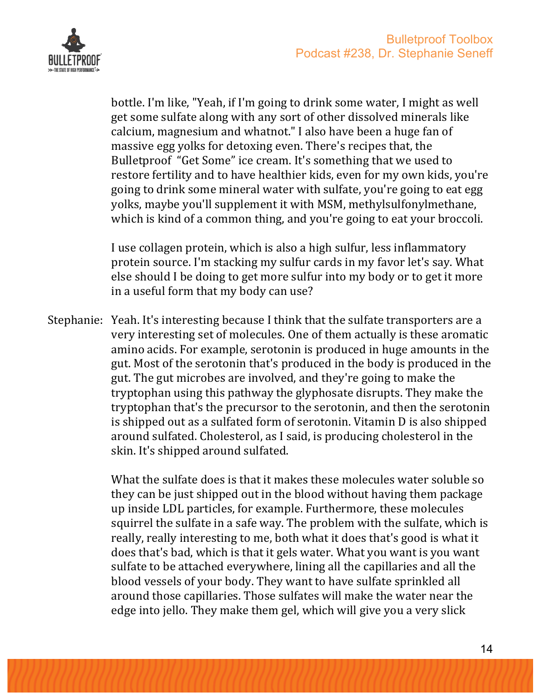

bottle. I'm like, "Yeah, if I'm going to drink some water, I might as well get some sulfate along with any sort of other dissolved minerals like calcium, magnesium and whatnot." I also have been a huge fan of massive egg volks for detoxing even. There's recipes that, the Bulletproof "Get Some" ice cream. It's something that we used to restore fertility and to have healthier kids, even for my own kids, you're going to drink some mineral water with sulfate, you're going to eat egg yolks, maybe you'll supplement it with MSM, methylsulfonylmethane, which is kind of a common thing, and you're going to eat your broccoli.

I use collagen protein, which is also a high sulfur, less inflammatory protein source. I'm stacking my sulfur cards in my favor let's say. What else should I be doing to get more sulfur into my body or to get it more in a useful form that my body can use?

Stephanie: Yeah. It's interesting because I think that the sulfate transporters are a very interesting set of molecules. One of them actually is these aromatic amino acids. For example, serotonin is produced in huge amounts in the gut. Most of the serotonin that's produced in the body is produced in the gut. The gut microbes are involved, and they're going to make the tryptophan using this pathway the glyphosate disrupts. They make the tryptophan that's the precursor to the serotonin, and then the serotonin is shipped out as a sulfated form of serotonin. Vitamin D is also shipped around sulfated. Cholesterol, as I said, is producing cholesterol in the skin. It's shipped around sulfated.

> What the sulfate does is that it makes these molecules water soluble so they can be just shipped out in the blood without having them package up inside LDL particles, for example. Furthermore, these molecules squirrel the sulfate in a safe way. The problem with the sulfate, which is really, really interesting to me, both what it does that's good is what it does that's bad, which is that it gels water. What you want is you want sulfate to be attached everywhere, lining all the capillaries and all the blood vessels of your body. They want to have sulfate sprinkled all around those capillaries. Those sulfates will make the water near the edge into jello. They make them gel, which will give you a very slick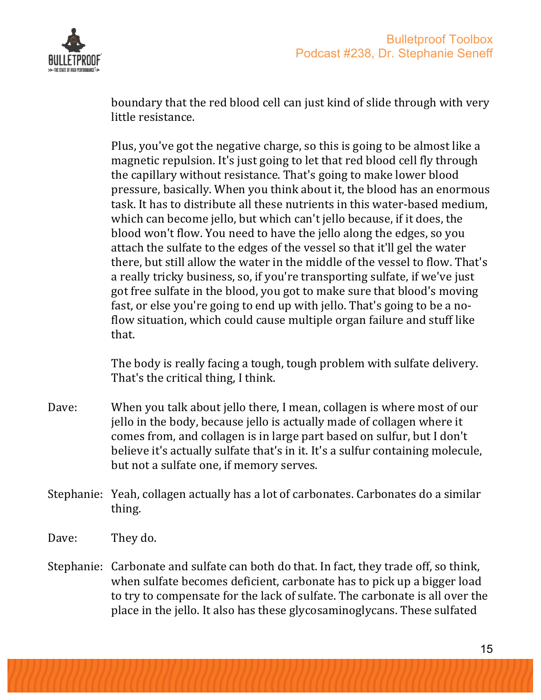

boundary that the red blood cell can just kind of slide through with very little resistance.

Plus, you've got the negative charge, so this is going to be almost like a magnetic repulsion. It's just going to let that red blood cell fly through the capillary without resistance. That's going to make lower blood pressure, basically. When you think about it, the blood has an enormous task. It has to distribute all these nutrients in this water-based medium, which can become jello, but which can't jello because, if it does, the blood won't flow. You need to have the jello along the edges, so you attach the sulfate to the edges of the vessel so that it'll gel the water there, but still allow the water in the middle of the vessel to flow. That's a really tricky business, so, if you're transporting sulfate, if we've just got free sulfate in the blood, you got to make sure that blood's moving fast, or else you're going to end up with jello. That's going to be a noflow situation, which could cause multiple organ failure and stuff like that.

The body is really facing a tough, tough problem with sulfate delivery. That's the critical thing, I think.

- Dave: When you talk about jello there, I mean, collagen is where most of our jello in the body, because jello is actually made of collagen where it comes from, and collagen is in large part based on sulfur, but I don't believe it's actually sulfate that's in it. It's a sulfur containing molecule, but not a sulfate one, if memory serves.
- Stephanie: Yeah, collagen actually has a lot of carbonates. Carbonates do a similar thing.
- Dave: They do.
- Stephanie: Carbonate and sulfate can both do that. In fact, they trade off, so think, when sulfate becomes deficient, carbonate has to pick up a bigger load to try to compensate for the lack of sulfate. The carbonate is all over the place in the jello. It also has these glycosaminoglycans. These sulfated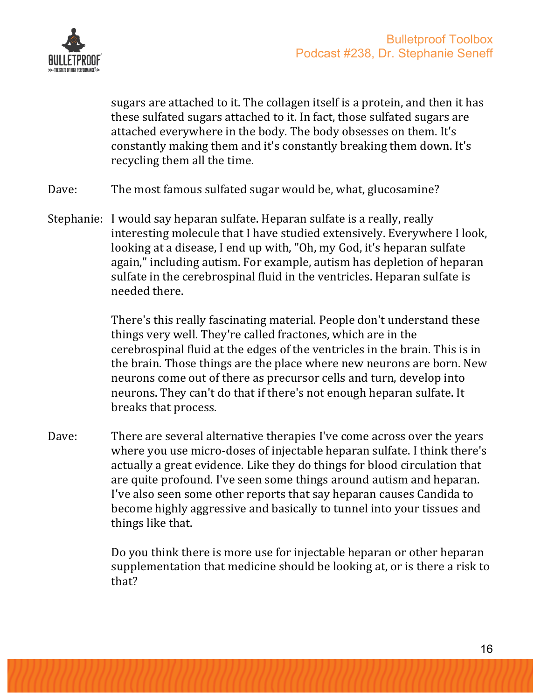

sugars are attached to it. The collagen itself is a protein, and then it has these sulfated sugars attached to it. In fact, those sulfated sugars are attached everywhere in the body. The body obsesses on them. It's constantly making them and it's constantly breaking them down. It's recycling them all the time.

- Dave: The most famous sulfated sugar would be, what, glucosamine?
- Stephanie: I would say heparan sulfate. Heparan sulfate is a really, really interesting molecule that I have studied extensively. Everywhere I look, looking at a disease, I end up with, "Oh, my God, it's heparan sulfate again," including autism. For example, autism has depletion of heparan sulfate in the cerebrospinal fluid in the ventricles. Heparan sulfate is needed there.

There's this really fascinating material. People don't understand these things very well. They're called fractones, which are in the cerebrospinal fluid at the edges of the ventricles in the brain. This is in the brain. Those things are the place where new neurons are born. New neurons come out of there as precursor cells and turn, develop into neurons. They can't do that if there's not enough heparan sulfate. It breaks that process.

Dave: There are several alternative therapies I've come across over the years where you use micro-doses of injectable heparan sulfate. I think there's actually a great evidence. Like they do things for blood circulation that are quite profound. I've seen some things around autism and heparan. I've also seen some other reports that say heparan causes Candida to become highly aggressive and basically to tunnel into your tissues and things like that.

> Do you think there is more use for injectable heparan or other heparan supplementation that medicine should be looking at, or is there a risk to that?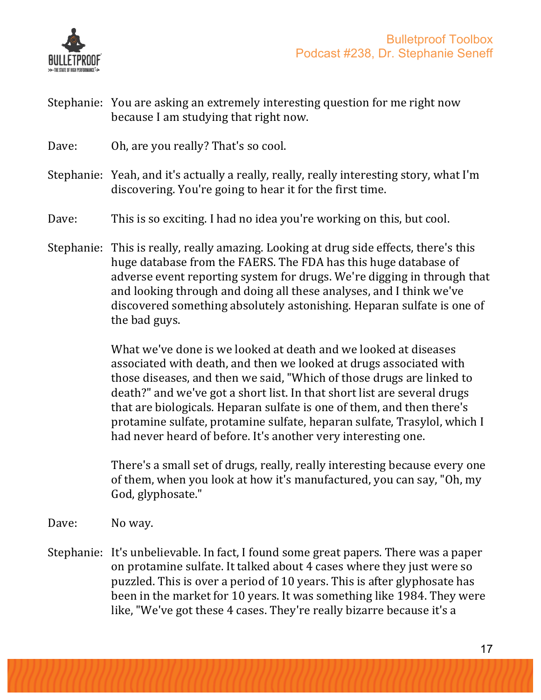

- Stephanie: You are asking an extremely interesting question for me right now because I am studying that right now.
- Dave: Oh, are you really? That's so cool.
- Stephanie: Yeah, and it's actually a really, really, really interesting story, what I'm discovering. You're going to hear it for the first time.
- Dave: This is so exciting. I had no idea you're working on this, but cool.
- Stephanie: This is really, really amazing. Looking at drug side effects, there's this huge database from the FAERS. The FDA has this huge database of adverse event reporting system for drugs. We're digging in through that and looking through and doing all these analyses, and I think we've discovered something absolutely astonishing. Heparan sulfate is one of the bad guys.

What we've done is we looked at death and we looked at diseases associated with death, and then we looked at drugs associated with those diseases, and then we said, "Which of those drugs are linked to death?" and we've got a short list. In that short list are several drugs that are biologicals. Heparan sulfate is one of them, and then there's protamine sulfate, protamine sulfate, heparan sulfate, Trasylol, which I had never heard of before. It's another very interesting one.

There's a small set of drugs, really, really interesting because every one of them, when you look at how it's manufactured, you can say, "Oh, my God, glyphosate."

Dave: No way.

Stephanie: It's unbelievable. In fact, I found some great papers. There was a paper on protamine sulfate. It talked about 4 cases where they just were so puzzled. This is over a period of 10 years. This is after glyphosate has been in the market for 10 years. It was something like 1984. They were like, "We've got these 4 cases. They're really bizarre because it's a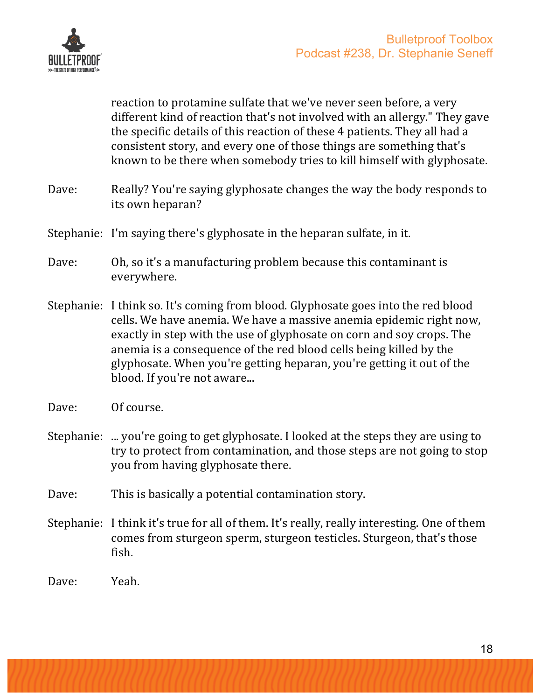

reaction to protamine sulfate that we've never seen before, a very different kind of reaction that's not involved with an allergy." They gave the specific details of this reaction of these 4 patients. They all had a consistent story, and every one of those things are something that's known to be there when somebody tries to kill himself with glyphosate.

- Dave: Really? You're saying glyphosate changes the way the body responds to its own heparan?
- Stephanie: I'm saying there's glyphosate in the heparan sulfate, in it.
- Dave: Oh, so it's a manufacturing problem because this contaminant is everywhere.
- Stephanie: I think so. It's coming from blood. Glyphosate goes into the red blood cells. We have anemia. We have a massive anemia epidemic right now, exactly in step with the use of glyphosate on corn and soy crops. The anemia is a consequence of the red blood cells being killed by the glyphosate. When you're getting heparan, you're getting it out of the blood. If you're not aware...
- Dave: Of course.
- Stephanie: ... you're going to get glyphosate. I looked at the steps they are using to try to protect from contamination, and those steps are not going to stop you from having glyphosate there.
- Dave: This is basically a potential contamination story.
- Stephanie: I think it's true for all of them. It's really, really interesting. One of them comes from sturgeon sperm, sturgeon testicles. Sturgeon, that's those fish.
- Dave: Yeah.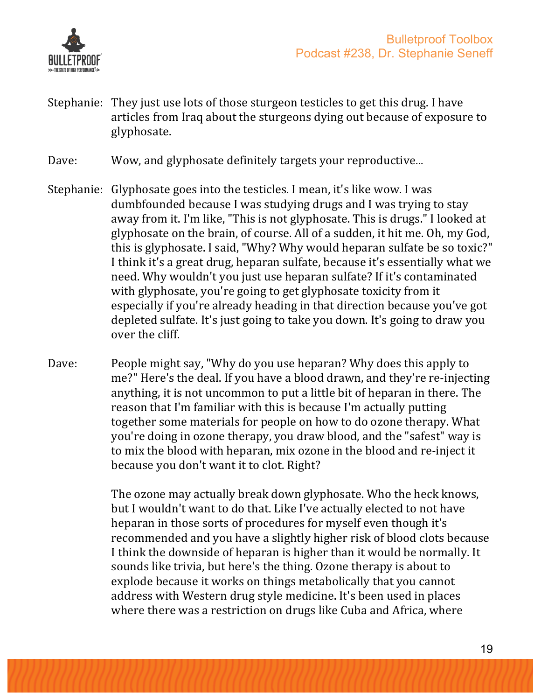

Stephanie: They just use lots of those sturgeon testicles to get this drug. I have articles from Iraq about the sturgeons dying out because of exposure to glyphosate. 

Dave: Wow, and glyphosate definitely targets your reproductive...

- Stephanie: Glyphosate goes into the testicles. I mean, it's like wow. I was dumbfounded because I was studying drugs and I was trying to stay away from it. I'm like, "This is not glyphosate. This is drugs." I looked at glyphosate on the brain, of course. All of a sudden, it hit me. Oh, my God, this is glyphosate. I said, "Why? Why would heparan sulfate be so toxic?" I think it's a great drug, heparan sulfate, because it's essentially what we need. Why wouldn't you just use heparan sulfate? If it's contaminated with glyphosate, you're going to get glyphosate toxicity from it especially if you're already heading in that direction because you've got depleted sulfate. It's just going to take you down. It's going to draw you over the cliff.
- Dave: People might say, "Why do you use heparan? Why does this apply to me?" Here's the deal. If you have a blood drawn, and they're re-injecting anything, it is not uncommon to put a little bit of heparan in there. The reason that I'm familiar with this is because I'm actually putting together some materials for people on how to do ozone therapy. What you're doing in ozone therapy, you draw blood, and the "safest" way is to mix the blood with heparan, mix ozone in the blood and re-inject it because you don't want it to clot. Right?

The ozone may actually break down glyphosate. Who the heck knows, but I wouldn't want to do that. Like I've actually elected to not have heparan in those sorts of procedures for myself even though it's recommended and you have a slightly higher risk of blood clots because I think the downside of heparan is higher than it would be normally. It sounds like trivia, but here's the thing. Ozone therapy is about to explode because it works on things metabolically that you cannot address with Western drug style medicine. It's been used in places where there was a restriction on drugs like Cuba and Africa, where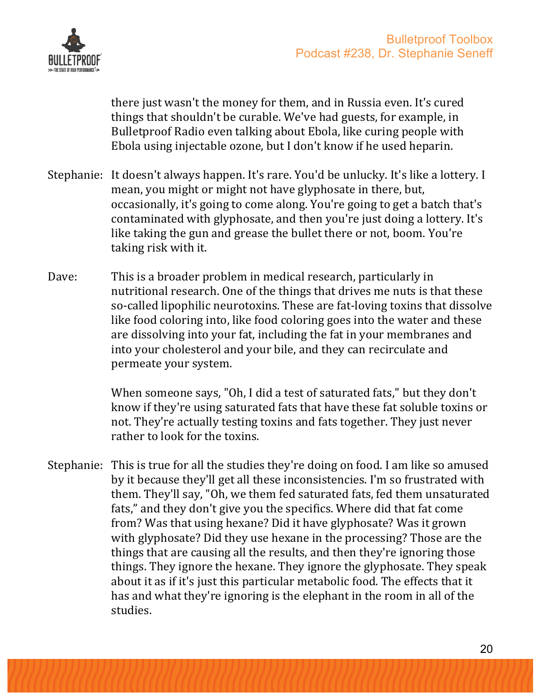

there just wasn't the money for them, and in Russia even. It's cured things that shouldn't be curable. We've had guests, for example, in Bulletproof Radio even talking about Ebola, like curing people with Ebola using injectable ozone, but I don't know if he used heparin.

- Stephanie: It doesn't always happen. It's rare. You'd be unlucky. It's like a lottery. I mean, you might or might not have glyphosate in there, but, occasionally, it's going to come along. You're going to get a batch that's contaminated with glyphosate, and then you're just doing a lottery. It's like taking the gun and grease the bullet there or not, boom. You're taking risk with it.
- Dave: This is a broader problem in medical research, particularly in nutritional research. One of the things that drives me nuts is that these so-called lipophilic neurotoxins. These are fat-loving toxins that dissolve like food coloring into, like food coloring goes into the water and these are dissolving into your fat, including the fat in your membranes and into your cholesterol and your bile, and they can recirculate and permeate your system.

When someone says, "Oh, I did a test of saturated fats," but they don't know if they're using saturated fats that have these fat soluble toxins or not. They're actually testing toxins and fats together. They just never rather to look for the toxins.

Stephanie: This is true for all the studies they're doing on food. I am like so amused by it because they'll get all these inconsistencies. I'm so frustrated with them. They'll say, "Oh, we them fed saturated fats, fed them unsaturated fats," and they don't give you the specifics. Where did that fat come from? Was that using hexane? Did it have glyphosate? Was it grown with glyphosate? Did they use hexane in the processing? Those are the things that are causing all the results, and then they're ignoring those things. They ignore the hexane. They ignore the glyphosate. They speak about it as if it's just this particular metabolic food. The effects that it has and what they're ignoring is the elephant in the room in all of the studies.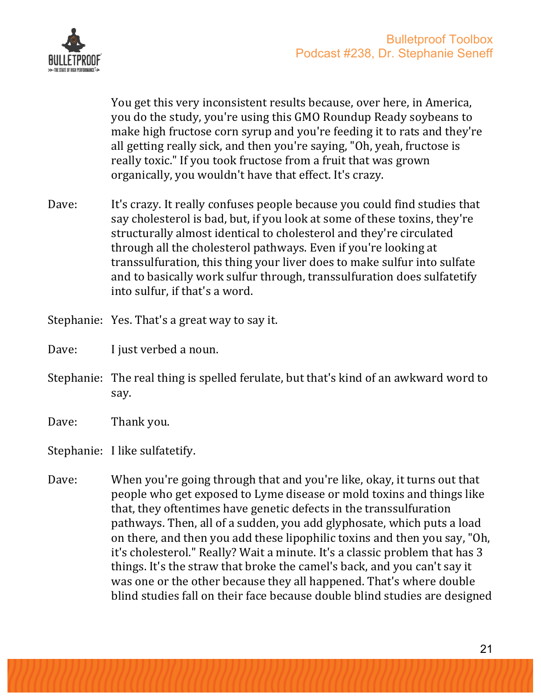

You get this very inconsistent results because, over here, in America, you do the study, you're using this GMO Roundup Ready soybeans to make high fructose corn syrup and you're feeding it to rats and they're all getting really sick, and then you're saying, "Oh, yeah, fructose is really toxic." If you took fructose from a fruit that was grown organically, you wouldn't have that effect. It's crazy.

- Dave: It's crazy. It really confuses people because you could find studies that say cholesterol is bad, but, if you look at some of these toxins, they're structurally almost identical to cholesterol and they're circulated through all the cholesterol pathways. Even if you're looking at transsulfuration, this thing your liver does to make sulfur into sulfate and to basically work sulfur through, transsulfuration does sulfatetify into sulfur, if that's a word.
- Stephanie: Yes. That's a great way to say it.
- Dave: I just verbed a noun.
- Stephanie: The real thing is spelled ferulate, but that's kind of an awkward word to say.
- Dave: Thank you.

Stephanie: I like sulfatetify.

Dave: When you're going through that and you're like, okay, it turns out that people who get exposed to Lyme disease or mold toxins and things like that, they oftentimes have genetic defects in the transsulfuration pathways. Then, all of a sudden, you add glyphosate, which puts a load on there, and then you add these lipophilic toxins and then you say, "Oh, it's cholesterol." Really? Wait a minute. It's a classic problem that has 3 things. It's the straw that broke the camel's back, and you can't say it was one or the other because they all happened. That's where double blind studies fall on their face because double blind studies are designed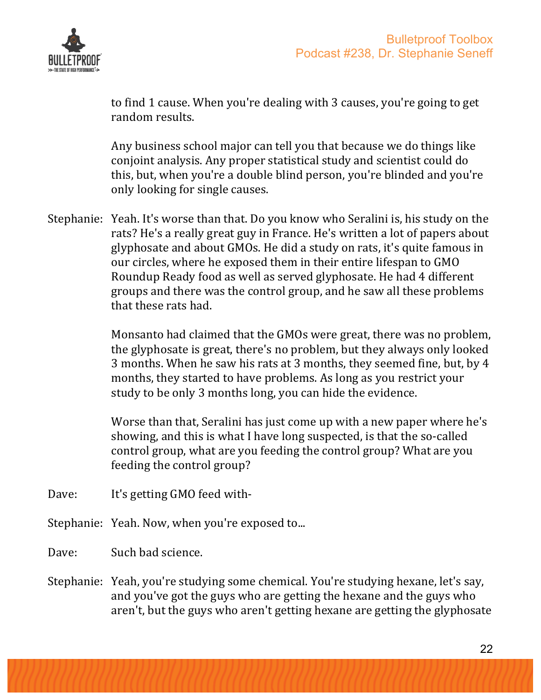

to find 1 cause. When you're dealing with 3 causes, you're going to get random results.

Any business school major can tell you that because we do things like conjoint analysis. Any proper statistical study and scientist could do this, but, when you're a double blind person, you're blinded and you're only looking for single causes.

Stephanie: Yeah. It's worse than that. Do you know who Seralini is, his study on the rats? He's a really great guy in France. He's written a lot of papers about glyphosate and about GMOs. He did a study on rats, it's quite famous in our circles, where he exposed them in their entire lifespan to GMO Roundup Ready food as well as served glyphosate. He had 4 different groups and there was the control group, and he saw all these problems that these rats had.

> Monsanto had claimed that the GMOs were great, there was no problem, the glyphosate is great, there's no problem, but they always only looked 3 months. When he saw his rats at 3 months, they seemed fine, but, by 4 months, they started to have problems. As long as you restrict your study to be only 3 months long, you can hide the evidence.

Worse than that, Seralini has just come up with a new paper where he's showing, and this is what I have long suspected, is that the so-called control group, what are you feeding the control group? What are you feeding the control group?

Dave: It's getting GMO feed with-

Stephanie: Yeah. Now, when you're exposed to...

Dave: Such bad science.

Stephanie: Yeah, you're studying some chemical. You're studying hexane, let's say, and you've got the guys who are getting the hexane and the guys who aren't, but the guys who aren't getting hexane are getting the glyphosate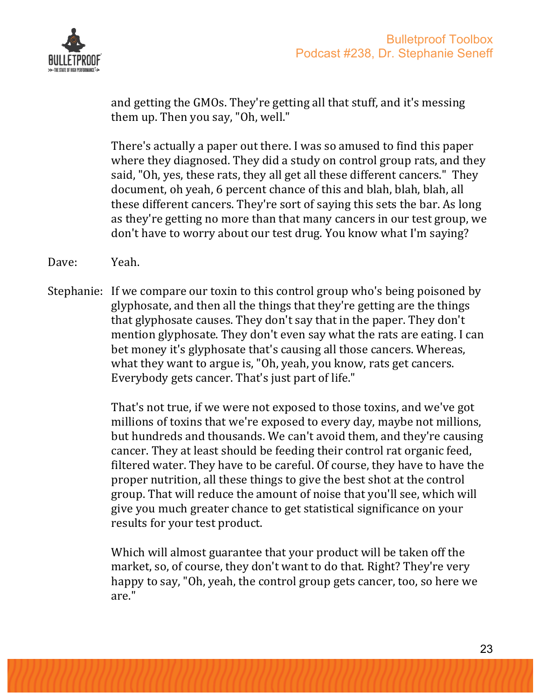

and getting the GMOs. They're getting all that stuff, and it's messing them up. Then you say, "Oh, well."

There's actually a paper out there. I was so amused to find this paper where they diagnosed. They did a study on control group rats, and they said, "Oh, yes, these rats, they all get all these different cancers." They document, oh yeah, 6 percent chance of this and blah, blah, blah, all these different cancers. They're sort of saying this sets the bar. As long as they're getting no more than that many cancers in our test group, we don't have to worry about our test drug. You know what I'm saying?

- Dave: Yeah.
- Stephanie: If we compare our toxin to this control group who's being poisoned by glyphosate, and then all the things that they're getting are the things that glyphosate causes. They don't say that in the paper. They don't mention glyphosate. They don't even say what the rats are eating. I can bet money it's glyphosate that's causing all those cancers. Whereas, what they want to argue is, "Oh, yeah, you know, rats get cancers. Everybody gets cancer. That's just part of life."

That's not true, if we were not exposed to those toxins, and we've got millions of toxins that we're exposed to every day, maybe not millions, but hundreds and thousands. We can't avoid them, and they're causing cancer. They at least should be feeding their control rat organic feed, filtered water. They have to be careful. Of course, they have to have the proper nutrition, all these things to give the best shot at the control group. That will reduce the amount of noise that you'll see, which will give you much greater chance to get statistical significance on your results for your test product.

Which will almost guarantee that your product will be taken off the market, so, of course, they don't want to do that. Right? They're very happy to say, "Oh, yeah, the control group gets cancer, too, so here we are."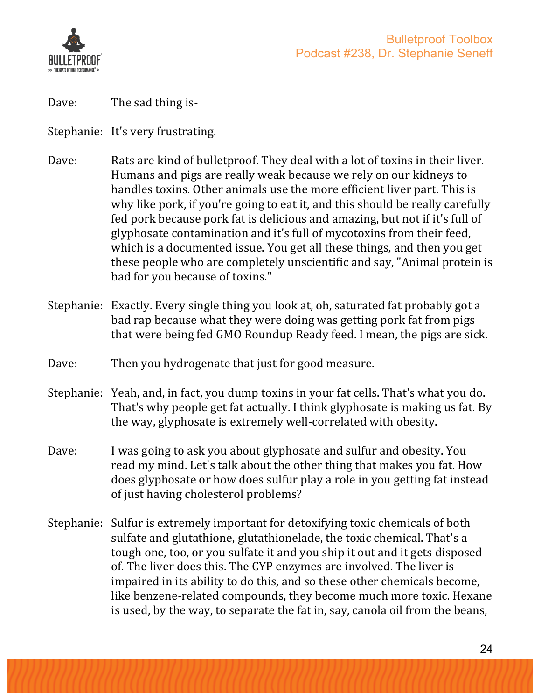

Dave: The sad thing is-

Stephanie: It's very frustrating.

- Dave: Rats are kind of bulletproof. They deal with a lot of toxins in their liver. Humans and pigs are really weak because we rely on our kidneys to handles toxins. Other animals use the more efficient liver part. This is why like pork, if you're going to eat it, and this should be really carefully fed pork because pork fat is delicious and amazing, but not if it's full of glyphosate contamination and it's full of mycotoxins from their feed, which is a documented issue. You get all these things, and then you get these people who are completely unscientific and say, "Animal protein is bad for you because of toxins."
- Stephanie: Exactly. Every single thing you look at, oh, saturated fat probably got a bad rap because what they were doing was getting pork fat from pigs that were being fed GMO Roundup Ready feed. I mean, the pigs are sick.
- Dave: Then you hydrogenate that just for good measure.
- Stephanie: Yeah, and, in fact, you dump toxins in your fat cells. That's what you do. That's why people get fat actually. I think glyphosate is making us fat. By the way, glyphosate is extremely well-correlated with obesity.
- Dave: I was going to ask you about glyphosate and sulfur and obesity. You read my mind. Let's talk about the other thing that makes you fat. How does glyphosate or how does sulfur play a role in you getting fat instead of just having cholesterol problems?
- Stephanie: Sulfur is extremely important for detoxifying toxic chemicals of both sulfate and glutathione, glutathionelade, the toxic chemical. That's a tough one, too, or you sulfate it and you ship it out and it gets disposed of. The liver does this. The CYP enzymes are involved. The liver is impaired in its ability to do this, and so these other chemicals become, like benzene-related compounds, they become much more toxic. Hexane is used, by the way, to separate the fat in, say, canola oil from the beans,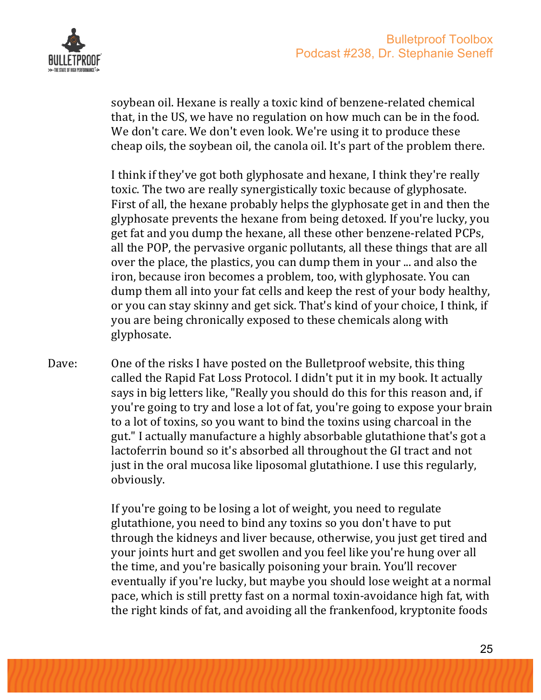

soybean oil. Hexane is really a toxic kind of benzene-related chemical that, in the US, we have no regulation on how much can be in the food. We don't care. We don't even look. We're using it to produce these cheap oils, the soybean oil, the canola oil. It's part of the problem there.

I think if they've got both glyphosate and hexane, I think they're really toxic. The two are really synergistically toxic because of glyphosate. First of all, the hexane probably helps the glyphosate get in and then the glyphosate prevents the hexane from being detoxed. If you're lucky, you get fat and you dump the hexane, all these other benzene-related PCPs, all the POP, the pervasive organic pollutants, all these things that are all over the place, the plastics, you can dump them in your ... and also the iron, because iron becomes a problem, too, with glyphosate. You can dump them all into your fat cells and keep the rest of your body healthy, or you can stay skinny and get sick. That's kind of your choice, I think, if you are being chronically exposed to these chemicals along with glyphosate.

Dave: One of the risks I have posted on the Bulletproof website, this thing called the Rapid Fat Loss Protocol. I didn't put it in my book. It actually says in big letters like, "Really you should do this for this reason and, if you're going to try and lose a lot of fat, you're going to expose your brain to a lot of toxins, so you want to bind the toxins using charcoal in the gut." I actually manufacture a highly absorbable glutathione that's got a lactoferrin bound so it's absorbed all throughout the GI tract and not just in the oral mucosa like liposomal glutathione. I use this regularly, obviously. 

> If you're going to be losing a lot of weight, you need to regulate glutathione, you need to bind any toxins so you don't have to put through the kidneys and liver because, otherwise, you just get tired and your joints hurt and get swollen and you feel like you're hung over all the time, and you're basically poisoning your brain. You'll recover eventually if you're lucky, but maybe you should lose weight at a normal pace, which is still pretty fast on a normal toxin-avoidance high fat, with the right kinds of fat, and avoiding all the frankenfood, kryptonite foods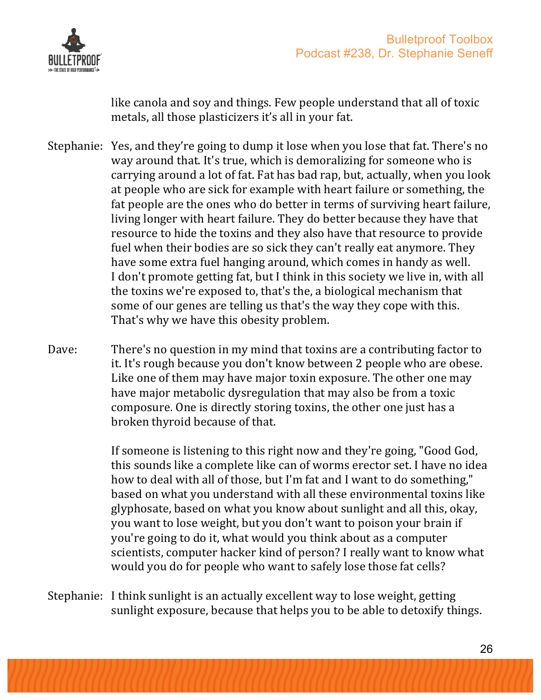

like canola and soy and things. Few people understand that all of toxic metals, all those plasticizers it's all in your fat.

- Stephanie: Yes, and they're going to dump it lose when you lose that fat. There's no way around that. It's true, which is demoralizing for someone who is carrying around a lot of fat. Fat has bad rap, but, actually, when you look at people who are sick for example with heart failure or something, the fat people are the ones who do better in terms of surviving heart failure, living longer with heart failure. They do better because they have that resource to hide the toxins and they also have that resource to provide fuel when their bodies are so sick they can't really eat anymore. They have some extra fuel hanging around, which comes in handy as well. I don't promote getting fat, but I think in this society we live in, with all the toxins we're exposed to, that's the, a biological mechanism that some of our genes are telling us that's the way they cope with this. That's why we have this obesity problem.
- Dave: There's no question in my mind that toxins are a contributing factor to it. It's rough because you don't know between 2 people who are obese. Like one of them may have major toxin exposure. The other one may have major metabolic dysregulation that may also be from a toxic composure. One is directly storing toxins, the other one just has a broken thyroid because of that.

If someone is listening to this right now and they're going, "Good God, this sounds like a complete like can of worms erector set. I have no idea how to deal with all of those, but I'm fat and I want to do something," based on what you understand with all these environmental toxins like glyphosate, based on what you know about sunlight and all this, okay, you want to lose weight, but you don't want to poison your brain if you're going to do it, what would you think about as a computer scientists, computer hacker kind of person? I really want to know what would you do for people who want to safely lose those fat cells?

Stephanie: I think sunlight is an actually excellent way to lose weight, getting sunlight exposure, because that helps you to be able to detoxify things.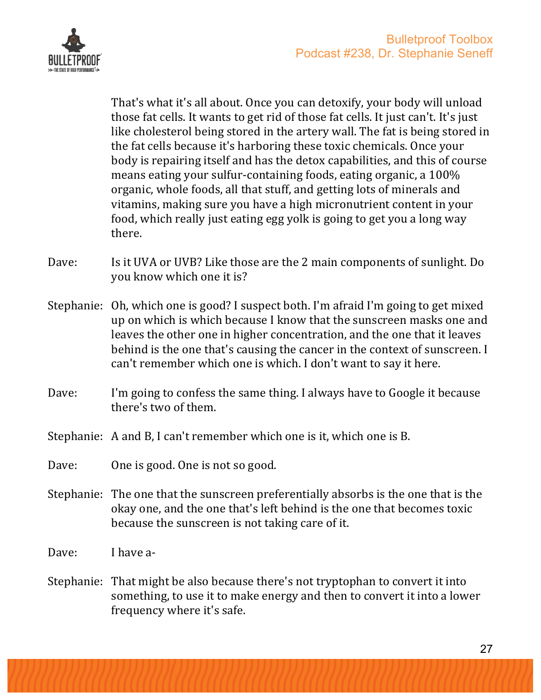

That's what it's all about. Once you can detoxify, your body will unload those fat cells. It wants to get rid of those fat cells. It just can't. It's just like cholesterol being stored in the artery wall. The fat is being stored in the fat cells because it's harboring these toxic chemicals. Once your body is repairing itself and has the detox capabilities, and this of course means eating your sulfur-containing foods, eating organic, a 100% organic, whole foods, all that stuff, and getting lots of minerals and vitamins, making sure you have a high micronutrient content in your food, which really just eating egg yolk is going to get you a long way there.

- Dave: Is it UVA or UVB? Like those are the 2 main components of sunlight. Do you know which one it is?
- Stephanie: Oh, which one is good? I suspect both. I'm afraid I'm going to get mixed up on which is which because I know that the sunscreen masks one and leaves the other one in higher concentration, and the one that it leaves behind is the one that's causing the cancer in the context of sunscreen. I can't remember which one is which. I don't want to say it here.
- Dave: I'm going to confess the same thing. I always have to Google it because there's two of them.
- Stephanie: A and B, I can't remember which one is it, which one is B.
- Dave: One is good. One is not so good.
- Stephanie: The one that the sunscreen preferentially absorbs is the one that is the okay one, and the one that's left behind is the one that becomes toxic because the sunscreen is not taking care of it.
- Dave: I have a-
- Stephanie: That might be also because there's not tryptophan to convert it into something, to use it to make energy and then to convert it into a lower frequency where it's safe.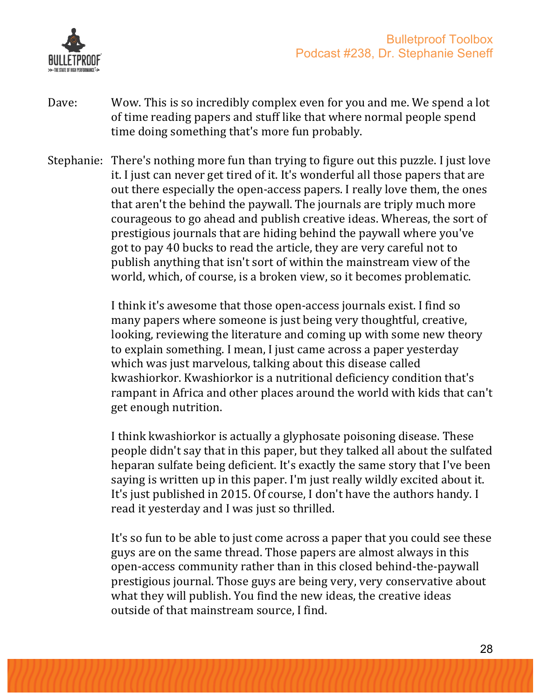

- Dave: Wow. This is so incredibly complex even for you and me. We spend a lot of time reading papers and stuff like that where normal people spend time doing something that's more fun probably.
- Stephanie: There's nothing more fun than trying to figure out this puzzle. I just love it. I just can never get tired of it. It's wonderful all those papers that are out there especially the open-access papers. I really love them, the ones that aren't the behind the paywall. The journals are triply much more courageous to go ahead and publish creative ideas. Whereas, the sort of prestigious journals that are hiding behind the paywall where you've got to pay 40 bucks to read the article, they are very careful not to publish anything that isn't sort of within the mainstream view of the world, which, of course, is a broken view, so it becomes problematic.

I think it's awesome that those open-access journals exist. I find so many papers where someone is just being very thoughtful, creative, looking, reviewing the literature and coming up with some new theory to explain something. I mean, I just came across a paper yesterday which was just marvelous, talking about this disease called kwashiorkor. Kwashiorkor is a nutritional deficiency condition that's rampant in Africa and other places around the world with kids that can't get enough nutrition.

I think kwashiorkor is actually a glyphosate poisoning disease. These people didn't say that in this paper, but they talked all about the sulfated heparan sulfate being deficient. It's exactly the same story that I've been saying is written up in this paper. I'm just really wildly excited about it. It's just published in 2015. Of course, I don't have the authors handy. I read it yesterday and I was just so thrilled.

It's so fun to be able to just come across a paper that you could see these guys are on the same thread. Those papers are almost always in this open-access community rather than in this closed behind-the-paywall prestigious journal. Those guys are being very, very conservative about what they will publish. You find the new ideas, the creative ideas outside of that mainstream source, I find.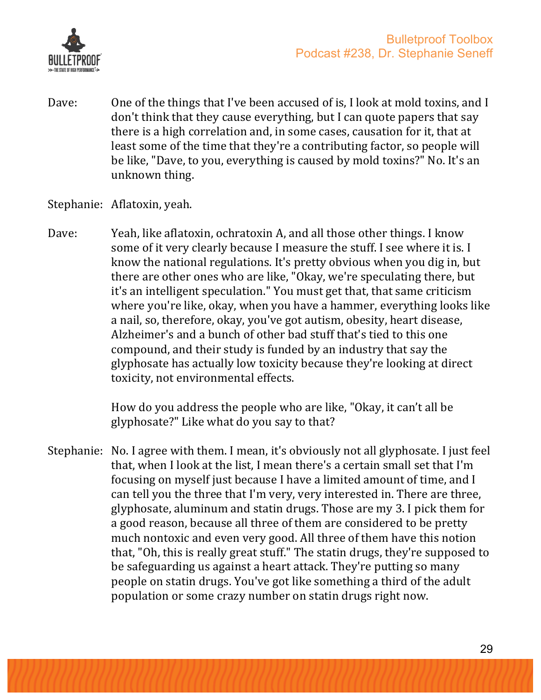

- Dave: One of the things that I've been accused of is, I look at mold toxins, and I don't think that they cause everything, but I can quote papers that say there is a high correlation and, in some cases, causation for it, that at least some of the time that they're a contributing factor, so people will be like, "Dave, to you, everything is caused by mold toxins?" No. It's an unknown thing.
- Stephanie: Aflatoxin, yeah.
- Dave: Yeah, like aflatoxin, ochratoxin A, and all those other things. I know some of it very clearly because I measure the stuff. I see where it is. I know the national regulations. It's pretty obvious when you dig in, but there are other ones who are like, "Okay, we're speculating there, but it's an intelligent speculation." You must get that, that same criticism where you're like, okay, when you have a hammer, everything looks like a nail, so, therefore, okay, you've got autism, obesity, heart disease, Alzheimer's and a bunch of other bad stuff that's tied to this one compound, and their study is funded by an industry that say the glyphosate has actually low toxicity because they're looking at direct toxicity, not environmental effects.

How do you address the people who are like, "Okay, it can't all be glyphosate?" Like what do you say to that?

Stephanie: No. I agree with them. I mean, it's obviously not all glyphosate. I just feel that, when I look at the list, I mean there's a certain small set that I'm focusing on myself just because I have a limited amount of time, and I can tell you the three that I'm very, very interested in. There are three, glyphosate, aluminum and statin drugs. Those are my 3. I pick them for a good reason, because all three of them are considered to be pretty much nontoxic and even very good. All three of them have this notion that, "Oh, this is really great stuff." The statin drugs, they're supposed to be safeguarding us against a heart attack. They're putting so many people on statin drugs. You've got like something a third of the adult population or some crazy number on statin drugs right now.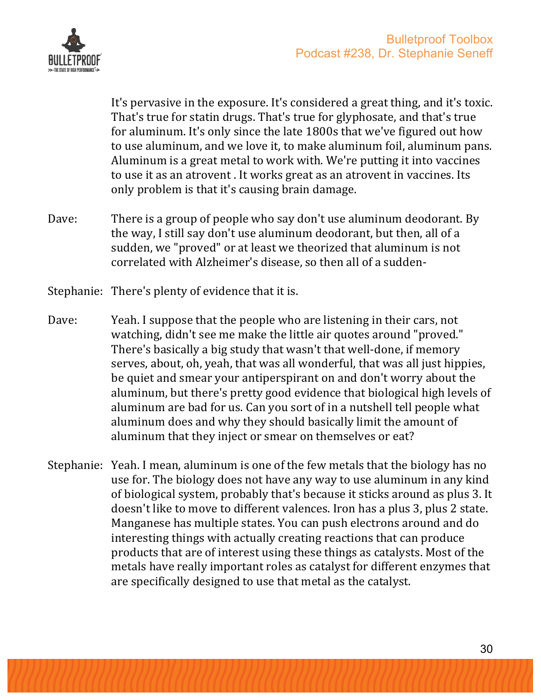

It's pervasive in the exposure. It's considered a great thing, and it's toxic. That's true for statin drugs. That's true for glyphosate, and that's true for aluminum. It's only since the late 1800s that we've figured out how to use aluminum, and we love it, to make aluminum foil, aluminum pans. Aluminum is a great metal to work with. We're putting it into vaccines to use it as an atrovent. It works great as an atrovent in vaccines. Its only problem is that it's causing brain damage.

- Dave: There is a group of people who say don't use aluminum deodorant. By the way, I still say don't use aluminum deodorant, but then, all of a sudden, we "proved" or at least we theorized that aluminum is not correlated with Alzheimer's disease, so then all of a sudden-
- Stephanie: There's plenty of evidence that it is.
- Dave: Yeah. I suppose that the people who are listening in their cars, not watching, didn't see me make the little air quotes around "proved." There's basically a big study that wasn't that well-done, if memory serves, about, oh, yeah, that was all wonderful, that was all just hippies, be quiet and smear your antiperspirant on and don't worry about the aluminum, but there's pretty good evidence that biological high levels of aluminum are bad for us. Can you sort of in a nutshell tell people what aluminum does and why they should basically limit the amount of aluminum that they inject or smear on themselves or eat?
- Stephanie: Yeah. I mean, aluminum is one of the few metals that the biology has no use for. The biology does not have any way to use aluminum in any kind of biological system, probably that's because it sticks around as plus 3. It doesn't like to move to different valences. Iron has a plus 3, plus 2 state. Manganese has multiple states. You can push electrons around and do interesting things with actually creating reactions that can produce products that are of interest using these things as catalysts. Most of the metals have really important roles as catalyst for different enzymes that are specifically designed to use that metal as the catalyst.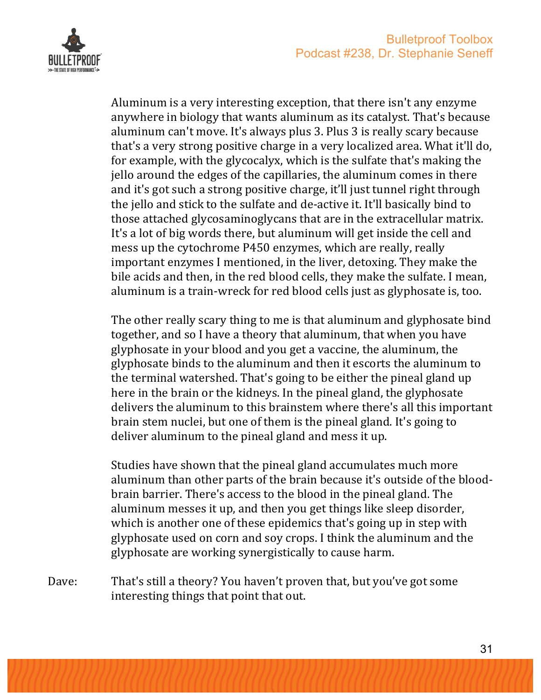

Aluminum is a very interesting exception, that there isn't any enzyme anywhere in biology that wants aluminum as its catalyst. That's because aluminum can't move. It's always plus 3. Plus 3 is really scary because that's a very strong positive charge in a very localized area. What it'll do, for example, with the glycocalyx, which is the sulfate that's making the jello around the edges of the capillaries, the aluminum comes in there and it's got such a strong positive charge, it'll just tunnel right through the jello and stick to the sulfate and de-active it. It'll basically bind to those attached glycosaminoglycans that are in the extracellular matrix. It's a lot of big words there, but aluminum will get inside the cell and mess up the cytochrome P450 enzymes, which are really, really important enzymes I mentioned, in the liver, detoxing. They make the bile acids and then, in the red blood cells, they make the sulfate. I mean, aluminum is a train-wreck for red blood cells just as glyphosate is, too.

The other really scary thing to me is that aluminum and glyphosate bind together, and so I have a theory that aluminum, that when you have glyphosate in your blood and you get a vaccine, the aluminum, the glyphosate binds to the aluminum and then it escorts the aluminum to the terminal watershed. That's going to be either the pineal gland up here in the brain or the kidneys. In the pineal gland, the glyphosate delivers the aluminum to this brainstem where there's all this important brain stem nuclei, but one of them is the pineal gland. It's going to deliver aluminum to the pineal gland and mess it up.

Studies have shown that the pineal gland accumulates much more aluminum than other parts of the brain because it's outside of the bloodbrain barrier. There's access to the blood in the pineal gland. The aluminum messes it up, and then you get things like sleep disorder, which is another one of these epidemics that's going up in step with glyphosate used on corn and soy crops. I think the aluminum and the glyphosate are working synergistically to cause harm.

Dave: That's still a theory? You haven't proven that, but you've got some interesting things that point that out.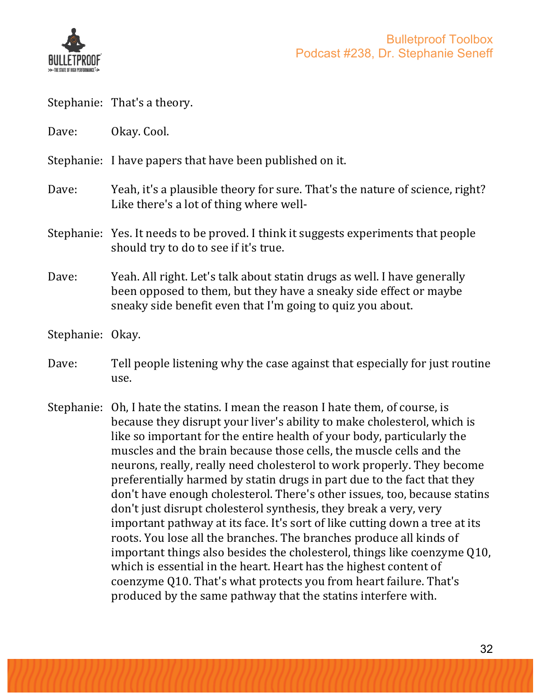

Stephanie: That's a theory. Dave: Okay. Cool. Stephanie: I have papers that have been published on it. Dave: Yeah, it's a plausible theory for sure. That's the nature of science, right? Like there's a lot of thing where well-Stephanie: Yes. It needs to be proved. I think it suggests experiments that people should try to do to see if it's true. Dave: Yeah. All right. Let's talk about statin drugs as well. I have generally been opposed to them, but they have a sneaky side effect or maybe sneaky side benefit even that I'm going to quiz you about. Stephanie: Okay. Dave: Tell people listening why the case against that especially for just routine use. Stephanie: Oh, I hate the statins. I mean the reason I hate them, of course, is because they disrupt your liver's ability to make cholesterol, which is like so important for the entire health of your body, particularly the muscles and the brain because those cells, the muscle cells and the neurons, really, really need cholesterol to work properly. They become

preferentially harmed by statin drugs in part due to the fact that they don't have enough cholesterol. There's other issues, too, because statins don't just disrupt cholesterol synthesis, they break a very, very important pathway at its face. It's sort of like cutting down a tree at its roots. You lose all the branches. The branches produce all kinds of important things also besides the cholesterol, things like coenzyme Q10, which is essential in the heart. Heart has the highest content of coenzyme Q10. That's what protects you from heart failure. That's produced by the same pathway that the statins interfere with.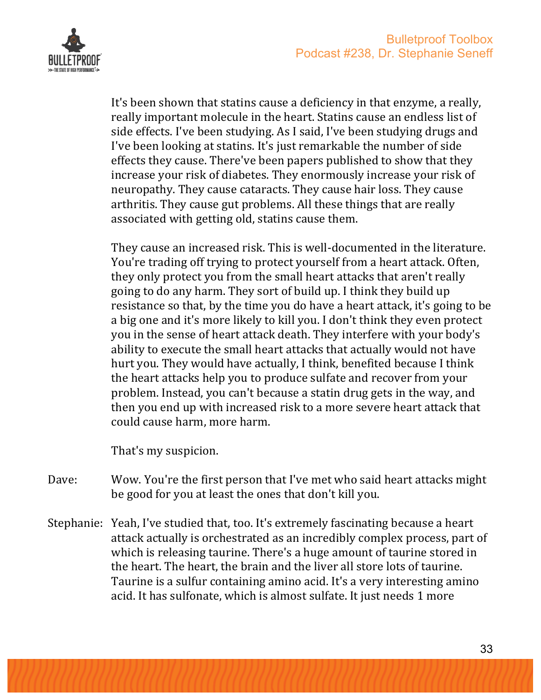

It's been shown that statins cause a deficiency in that enzyme, a really, really important molecule in the heart. Statins cause an endless list of side effects. I've been studying. As I said, I've been studying drugs and I've been looking at statins. It's just remarkable the number of side effects they cause. There've been papers published to show that they increase your risk of diabetes. They enormously increase your risk of neuropathy. They cause cataracts. They cause hair loss. They cause arthritis. They cause gut problems. All these things that are really associated with getting old, statins cause them.

They cause an increased risk. This is well-documented in the literature. You're trading off trying to protect yourself from a heart attack. Often, they only protect you from the small heart attacks that aren't really going to do any harm. They sort of build up. I think they build up resistance so that, by the time you do have a heart attack, it's going to be a big one and it's more likely to kill you. I don't think they even protect you in the sense of heart attack death. They interfere with your body's ability to execute the small heart attacks that actually would not have hurt you. They would have actually, I think, benefited because I think the heart attacks help you to produce sulfate and recover from your problem. Instead, you can't because a statin drug gets in the way, and then you end up with increased risk to a more severe heart attack that could cause harm, more harm. 

That's my suspicion.

- Dave: Wow. You're the first person that I've met who said heart attacks might be good for you at least the ones that don't kill you.
- Stephanie: Yeah, I've studied that, too. It's extremely fascinating because a heart attack actually is orchestrated as an incredibly complex process, part of which is releasing taurine. There's a huge amount of taurine stored in the heart. The heart, the brain and the liver all store lots of taurine. Taurine is a sulfur containing amino acid. It's a very interesting amino acid. It has sulfonate, which is almost sulfate. It just needs 1 more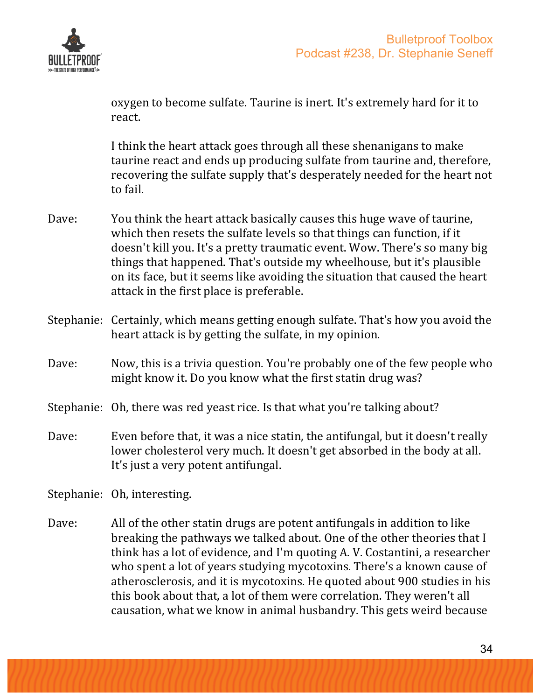

oxygen to become sulfate. Taurine is inert. It's extremely hard for it to react. 

I think the heart attack goes through all these shenanigans to make taurine react and ends up producing sulfate from taurine and, therefore, recovering the sulfate supply that's desperately needed for the heart not to fail.

- Dave: You think the heart attack basically causes this huge wave of taurine, which then resets the sulfate levels so that things can function, if it doesn't kill you. It's a pretty traumatic event. Wow. There's so many big things that happened. That's outside my wheelhouse, but it's plausible on its face, but it seems like avoiding the situation that caused the heart attack in the first place is preferable.
- Stephanie: Certainly, which means getting enough sulfate. That's how you avoid the heart attack is by getting the sulfate, in my opinion.
- Dave: Now, this is a trivia question. You're probably one of the few people who might know it. Do you know what the first statin drug was?
- Stephanie: Oh, there was red yeast rice. Is that what you're talking about?
- Dave: Even before that, it was a nice statin, the antifungal, but it doesn't really lower cholesterol very much. It doesn't get absorbed in the body at all. It's just a very potent antifungal.

Stephanie: Oh, interesting.

Dave: All of the other statin drugs are potent antifungals in addition to like breaking the pathways we talked about. One of the other theories that I think has a lot of evidence, and I'm quoting A. V. Costantini, a researcher who spent a lot of years studying mycotoxins. There's a known cause of atherosclerosis, and it is mycotoxins. He quoted about 900 studies in his this book about that, a lot of them were correlation. They weren't all causation, what we know in animal husbandry. This gets weird because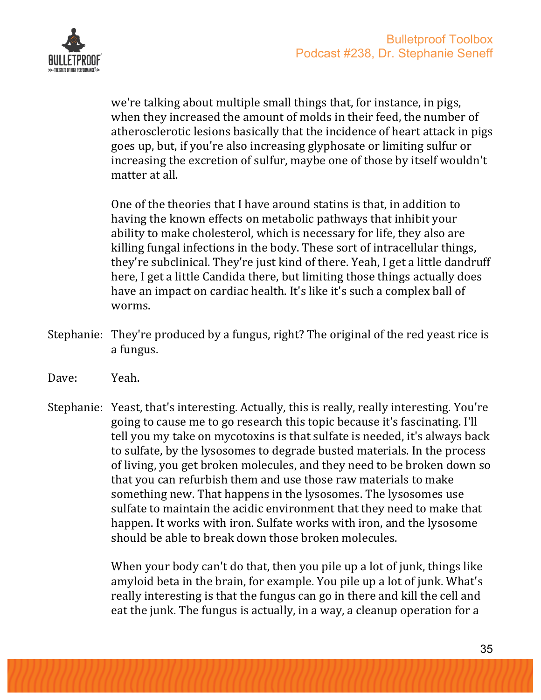

we're talking about multiple small things that, for instance, in pigs, when they increased the amount of molds in their feed, the number of atherosclerotic lesions basically that the incidence of heart attack in pigs goes up, but, if you're also increasing glyphosate or limiting sulfur or increasing the excretion of sulfur, maybe one of those by itself wouldn't matter at all.

One of the theories that I have around statins is that, in addition to having the known effects on metabolic pathways that inhibit your ability to make cholesterol, which is necessary for life, they also are killing fungal infections in the body. These sort of intracellular things, they're subclinical. They're just kind of there. Yeah, I get a little dandruff here, I get a little Candida there, but limiting those things actually does have an impact on cardiac health. It's like it's such a complex ball of worms.

- Stephanie: They're produced by a fungus, right? The original of the red yeast rice is a fungus.
- Dave: Yeah.
- Stephanie: Yeast, that's interesting. Actually, this is really, really interesting. You're going to cause me to go research this topic because it's fascinating. I'll tell you my take on mycotoxins is that sulfate is needed, it's always back to sulfate, by the lysosomes to degrade busted materials. In the process of living, you get broken molecules, and they need to be broken down so that you can refurbish them and use those raw materials to make something new. That happens in the lysosomes. The lysosomes use sulfate to maintain the acidic environment that they need to make that happen. It works with iron. Sulfate works with iron, and the lysosome should be able to break down those broken molecules.

When your body can't do that, then you pile up a lot of junk, things like amyloid beta in the brain, for example. You pile up a lot of junk. What's really interesting is that the fungus can go in there and kill the cell and eat the junk. The fungus is actually, in a way, a cleanup operation for a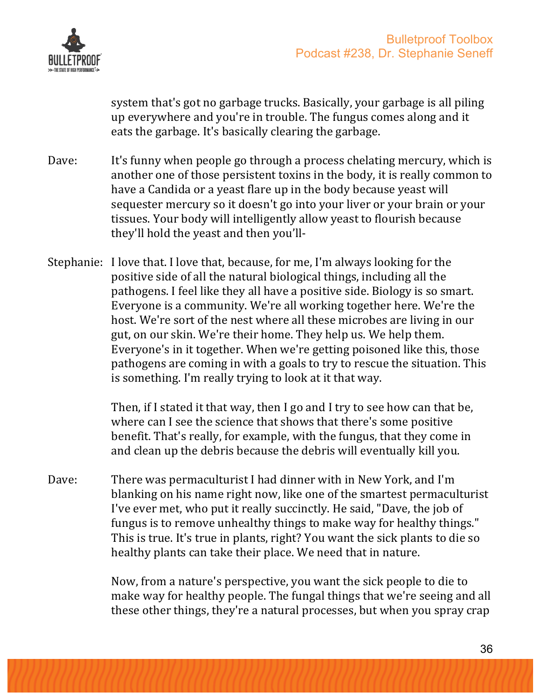

system that's got no garbage trucks. Basically, your garbage is all piling up everywhere and you're in trouble. The fungus comes along and it eats the garbage. It's basically clearing the garbage.

- Dave: It's funny when people go through a process chelating mercury, which is another one of those persistent toxins in the body, it is really common to have a Candida or a yeast flare up in the body because yeast will sequester mercury so it doesn't go into your liver or your brain or your tissues. Your body will intelligently allow yeast to flourish because they'll hold the yeast and then you'll-
- Stephanie: I love that. I love that, because, for me, I'm always looking for the positive side of all the natural biological things, including all the pathogens. I feel like they all have a positive side. Biology is so smart. Everyone is a community. We're all working together here. We're the host. We're sort of the nest where all these microbes are living in our gut, on our skin. We're their home. They help us. We help them. Evervone's in it together. When we're getting poisoned like this, those pathogens are coming in with a goals to try to rescue the situation. This is something. I'm really trying to look at it that way.

Then, if I stated it that way, then I go and I try to see how can that be, where can I see the science that shows that there's some positive benefit. That's really, for example, with the fungus, that they come in and clean up the debris because the debris will eventually kill you.

Dave: There was permaculturist I had dinner with in New York, and I'm blanking on his name right now, like one of the smartest permaculturist I've ever met, who put it really succinctly. He said, "Dave, the job of fungus is to remove unhealthy things to make way for healthy things." This is true. It's true in plants, right? You want the sick plants to die so healthy plants can take their place. We need that in nature.

> Now, from a nature's perspective, you want the sick people to die to make way for healthy people. The fungal things that we're seeing and all these other things, they're a natural processes, but when you spray crap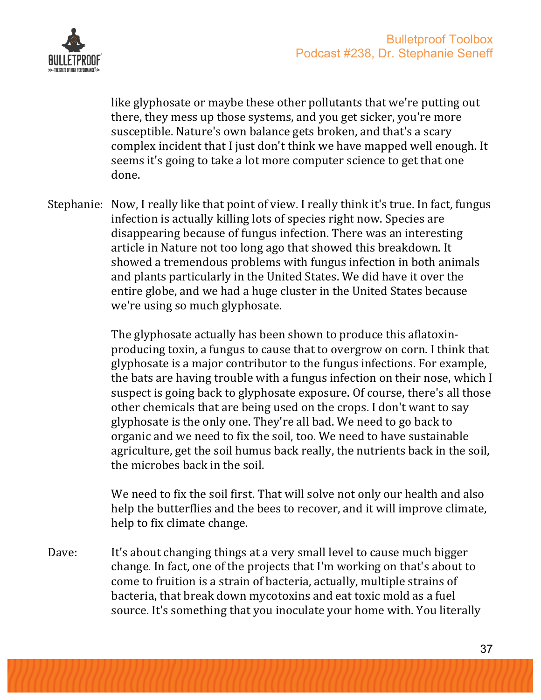

like glyphosate or maybe these other pollutants that we're putting out there, they mess up those systems, and you get sicker, you're more susceptible. Nature's own balance gets broken, and that's a scary complex incident that I just don't think we have mapped well enough. It seems it's going to take a lot more computer science to get that one done.

Stephanie: Now, I really like that point of view. I really think it's true. In fact, fungus infection is actually killing lots of species right now. Species are disappearing because of fungus infection. There was an interesting article in Nature not too long ago that showed this breakdown. It showed a tremendous problems with fungus infection in both animals and plants particularly in the United States. We did have it over the entire globe, and we had a huge cluster in the United States because we're using so much glyphosate.

> The glyphosate actually has been shown to produce this aflatoxinproducing toxin, a fungus to cause that to overgrow on corn. I think that glyphosate is a major contributor to the fungus infections. For example, the bats are having trouble with a fungus infection on their nose, which I suspect is going back to glyphosate exposure. Of course, there's all those other chemicals that are being used on the crops. I don't want to say glyphosate is the only one. They're all bad. We need to go back to organic and we need to fix the soil, too. We need to have sustainable agriculture, get the soil humus back really, the nutrients back in the soil, the microbes back in the soil.

We need to fix the soil first. That will solve not only our health and also help the butterflies and the bees to recover, and it will improve climate, help to fix climate change.

Dave: It's about changing things at a very small level to cause much bigger change. In fact, one of the projects that I'm working on that's about to come to fruition is a strain of bacteria, actually, multiple strains of bacteria, that break down mycotoxins and eat toxic mold as a fuel source. It's something that you inoculate your home with. You literally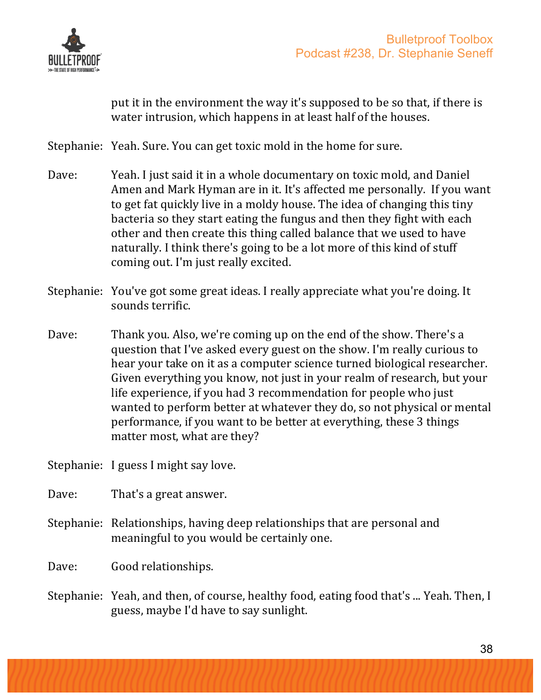

put it in the environment the way it's supposed to be so that, if there is water intrusion, which happens in at least half of the houses.

Stephanie: Yeah. Sure. You can get toxic mold in the home for sure.

- Dave: Yeah. I just said it in a whole documentary on toxic mold, and Daniel Amen and Mark Hyman are in it. It's affected me personally. If you want to get fat quickly live in a moldy house. The idea of changing this tiny bacteria so they start eating the fungus and then they fight with each other and then create this thing called balance that we used to have naturally. I think there's going to be a lot more of this kind of stuff coming out. I'm just really excited.
- Stephanie: You've got some great ideas. I really appreciate what you're doing. It sounds terrific.
- Dave: Thank you. Also, we're coming up on the end of the show. There's a question that I've asked every guest on the show. I'm really curious to hear your take on it as a computer science turned biological researcher. Given everything you know, not just in your realm of research, but your life experience, if you had 3 recommendation for people who just wanted to perform better at whatever they do, so not physical or mental performance, if you want to be better at everything, these 3 things matter most, what are they?

Stephanie: I guess I might say love.

Dave: That's a great answer.

Stephanie: Relationships, having deep relationships that are personal and meaningful to you would be certainly one.

Dave: Good relationships.

Stephanie: Yeah, and then, of course, healthy food, eating food that's ... Yeah. Then, I guess, maybe I'd have to say sunlight.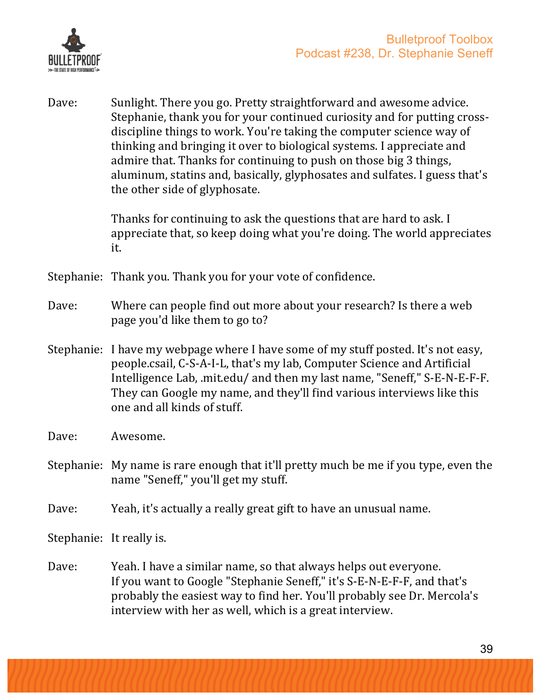

Dave: Sunlight. There you go. Pretty straightforward and awesome advice. Stephanie, thank you for your continued curiosity and for putting crossdiscipline things to work. You're taking the computer science way of thinking and bringing it over to biological systems. I appreciate and admire that. Thanks for continuing to push on those big 3 things, aluminum, statins and, basically, glyphosates and sulfates. I guess that's the other side of glyphosate.

> Thanks for continuing to ask the questions that are hard to ask. I appreciate that, so keep doing what you're doing. The world appreciates it.

Stephanie: Thank you. Thank you for your vote of confidence.

- Dave: Where can people find out more about your research? Is there a web page you'd like them to go to?
- Stephanie: I have my webpage where I have some of my stuff posted. It's not easy, people.csail, C-S-A-I-L, that's my lab, Computer Science and Artificial Intelligence Lab, mit.edu/ and then my last name, "Seneff," S-E-N-E-F-F. They can Google my name, and they'll find various interviews like this one and all kinds of stuff.
- Dave: Awesome.
- Stephanie: My name is rare enough that it'll pretty much be me if you type, even the name "Seneff," you'll get my stuff.
- Dave: Yeah, it's actually a really great gift to have an unusual name.

Stephanie: It really is.

Dave: Yeah. I have a similar name, so that always helps out everyone. If you want to Google "Stephanie Seneff," it's S-E-N-E-F-F, and that's probably the easiest way to find her. You'll probably see Dr. Mercola's interview with her as well, which is a great interview.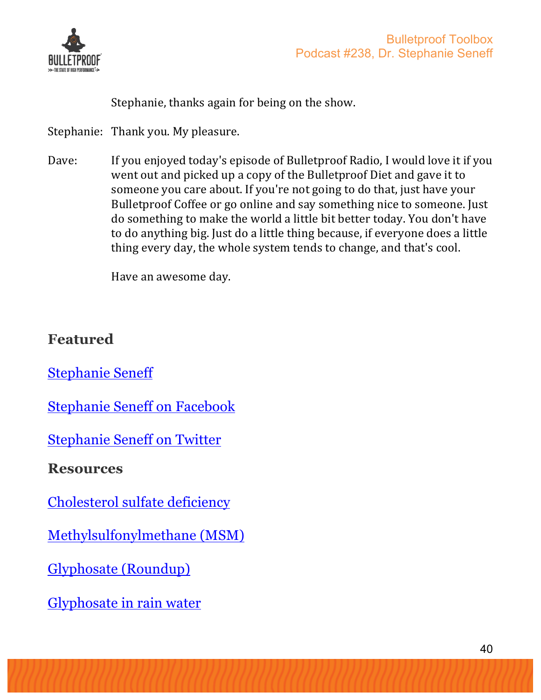

Stephanie, thanks again for being on the show.

Stephanie: Thank you. My pleasure.

Dave: If you enjoved today's episode of Bulletproof Radio, I would love it if you went out and picked up a copy of the Bulletproof Diet and gave it to someone you care about. If you're not going to do that, just have your Bulletproof Coffee or go online and say something nice to someone. Just do something to make the world a little bit better today. You don't have to do anything big. Just do a little thing because, if everyone does a little thing every day, the whole system tends to change, and that's cool.

Have an awesome day.

### **Featured**

Stephanie Seneff

Stephanie Seneff on Facebook

Stephanie Seneff on Twitter

**Resources**

Cholesterol sulfate deficiency

Methylsulfonylmethane (MSM)

Glyphosate (Roundup)

Glyphosate in rain water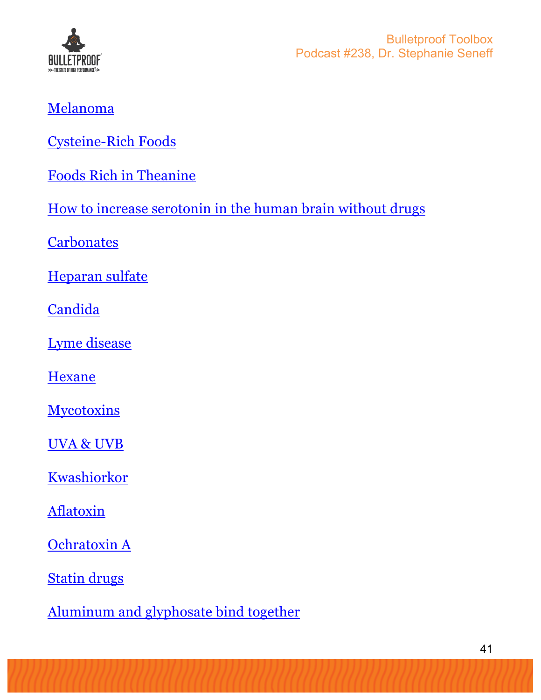

## Melanoma

Cysteine-Rich Foods

Foods Rich in Theanine

How to increase serotonin in the human brain without drugs

**Carbonates** 

Heparan sulfate

**Candida** 

Lyme disease

**Hexane** 

**Mycotoxins** 

UVA & UVB

Kwashiorkor

**Aflatoxin** 

Ochratoxin A

Statin drugs

Aluminum and glyphosate bind together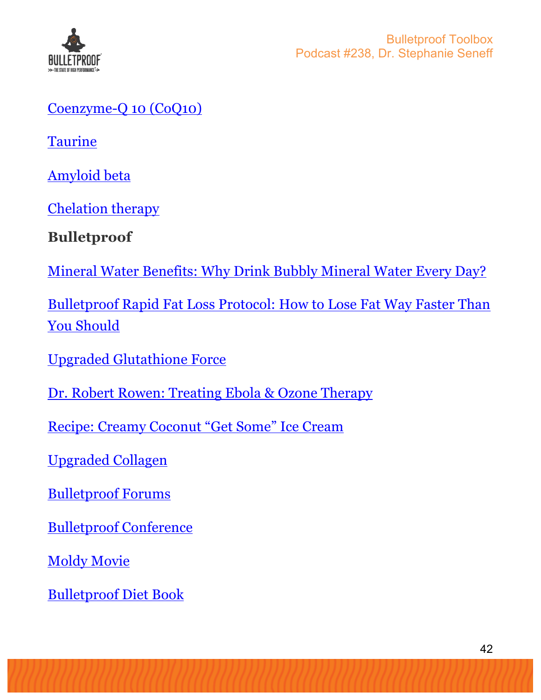

#### Coenzyme-Q 10 (CoQ10)

**Taurine** 

Amyloid beta

Chelation therapy

**Bulletproof**

Mineral Water Benefits: Why Drink Bubbly Mineral Water Every Day?

Bulletproof Rapid Fat Loss Protocol: How to Lose Fat Way Faster Than You Should

Upgraded Glutathione Force

Dr. Robert Rowen: Treating Ebola & Ozone Therapy

Recipe: Creamy Coconut "Get Some" Ice Cream

Upgraded Collagen

Bulletproof Forums

Bulletproof Conference

**Moldy Movie** 

Bulletproof Diet Book